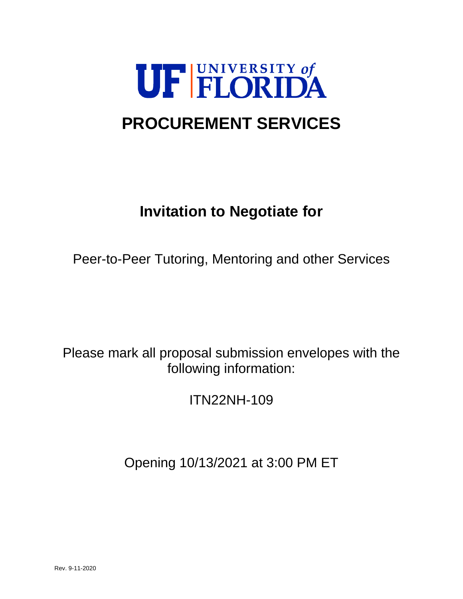

# **PROCUREMENT SERVICES**

# **Invitation to Negotiate for**

Peer-to-Peer Tutoring, Mentoring and other Services

Please mark all proposal submission envelopes with the following information:

ITN22NH-109

Opening 10/13/2021 at 3:00 PM ET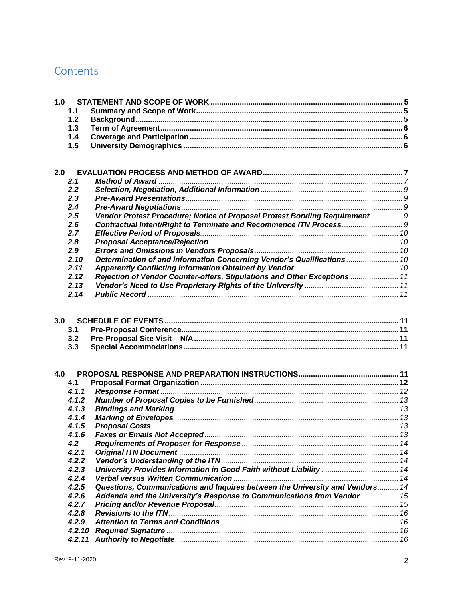## Contents

| 1.0 |        |                                                                              |  |
|-----|--------|------------------------------------------------------------------------------|--|
|     | 1.1    |                                                                              |  |
|     | 1.2    |                                                                              |  |
|     | 1.3    |                                                                              |  |
|     | 1.4    |                                                                              |  |
|     | 1.5    |                                                                              |  |
|     |        |                                                                              |  |
|     |        |                                                                              |  |
| 2.0 |        |                                                                              |  |
|     | 2.1    |                                                                              |  |
|     | 2.2    |                                                                              |  |
|     | 2.3    |                                                                              |  |
|     | 2.4    |                                                                              |  |
|     | 2.5    | Vendor Protest Procedure; Notice of Proposal Protest Bonding Requirement  9  |  |
|     | 2.6    |                                                                              |  |
|     | 2.7    |                                                                              |  |
|     | 2.8    |                                                                              |  |
|     | 2.9    |                                                                              |  |
|     | 2.10   | Determination of and Information Concerning Vendor's Qualifications  10      |  |
|     | 2.11   |                                                                              |  |
|     | 2.12   | Rejection of Vendor Counter-offers, Stipulations and Other Exceptions  11    |  |
|     | 2.13   |                                                                              |  |
|     | 2.14   |                                                                              |  |
|     |        |                                                                              |  |
|     |        |                                                                              |  |
| 3.0 |        |                                                                              |  |
|     | 3.1    |                                                                              |  |
|     | 3.2    |                                                                              |  |
|     | 3.3    |                                                                              |  |
|     |        |                                                                              |  |
|     |        |                                                                              |  |
| 4.0 |        |                                                                              |  |
|     | 4.1    |                                                                              |  |
|     | 4.1.1  |                                                                              |  |
|     | 4.1.2  |                                                                              |  |
|     | 4.1.3  |                                                                              |  |
|     | 4.1.4  |                                                                              |  |
|     | 4.1.5  |                                                                              |  |
|     | 4.1.6  |                                                                              |  |
|     | 4.2    |                                                                              |  |
|     | 4.2.1  |                                                                              |  |
|     | 4.2.2  |                                                                              |  |
|     | 4.2.3  | University Provides Information in Good Faith without Liability  14          |  |
|     | 4.2.4  |                                                                              |  |
|     | 4.2.5  | Questions, Communications and Inquires between the University and Vendors 14 |  |
|     | 4.2.6  | Addenda and the University's Response to Communications from Vendor  15      |  |
|     | 4.2.7  |                                                                              |  |
|     | 4.2.8  |                                                                              |  |
|     | 4.2.9  |                                                                              |  |
|     | 4.2.10 |                                                                              |  |
|     | 4.2.11 |                                                                              |  |
|     |        |                                                                              |  |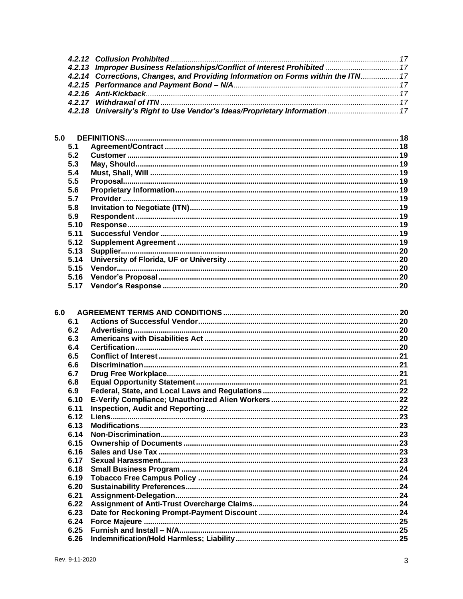| 4.2.13 Improper Business Relationships/Conflict of Interest Prohibited  17        |  |
|-----------------------------------------------------------------------------------|--|
| 4.2.14 Corrections, Changes, and Providing Information on Forms within the ITN 17 |  |
|                                                                                   |  |
|                                                                                   |  |
|                                                                                   |  |
| 4.2.18 University's Right to Use Vendor's Ideas/Proprietary Information 17        |  |

| 5.0  |  |
|------|--|
| 5.1  |  |
| 5.2  |  |
| 5.3  |  |
| 5.4  |  |
| 5.5  |  |
| 5.6  |  |
| 57   |  |
| 5.8  |  |
| 5.9  |  |
| 5.10 |  |
| 511  |  |
| 5.12 |  |
| 5.13 |  |
| 5.14 |  |
| 5.15 |  |
| 5.16 |  |
| 5.17 |  |
|      |  |

| 6.1  |  |
|------|--|
| 6.2  |  |
| 6.3  |  |
| 6.4  |  |
| 6.5  |  |
| 6.6  |  |
| 6.7  |  |
| 6.8  |  |
| 6.9  |  |
| 6.10 |  |
| 6.11 |  |
| 6.12 |  |
| 6.13 |  |
| 6.14 |  |
| 6.15 |  |
| 6.16 |  |
| 6.17 |  |
| 6.18 |  |
| 6.19 |  |
| 6.20 |  |
| 6.21 |  |
| 6.22 |  |
| 6.23 |  |
| 6.24 |  |
| 6.25 |  |
| 6.26 |  |
|      |  |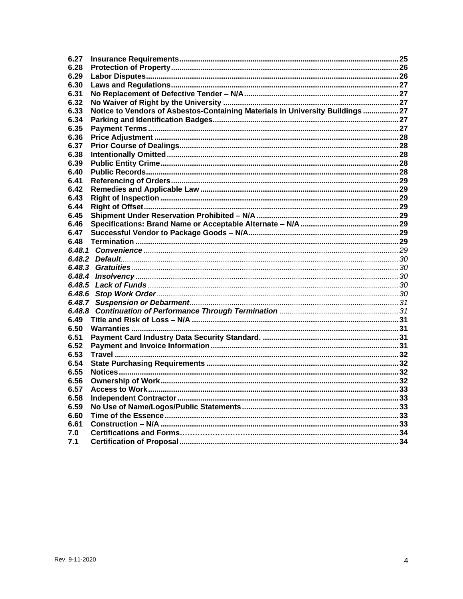| 6.27   |                                                                                |  |
|--------|--------------------------------------------------------------------------------|--|
| 6.28   |                                                                                |  |
| 6.29   |                                                                                |  |
| 6.30   |                                                                                |  |
| 6.31   |                                                                                |  |
| 6.32   |                                                                                |  |
| 6.33   | Notice to Vendors of Asbestos-Containing Materials in University Buildings  27 |  |
| 6.34   |                                                                                |  |
| 6.35   |                                                                                |  |
| 6.36   |                                                                                |  |
| 6.37   |                                                                                |  |
| 6.38   |                                                                                |  |
| 6.39   |                                                                                |  |
| 6.40   |                                                                                |  |
| 6.41   |                                                                                |  |
| 6.42   |                                                                                |  |
| 6.43   |                                                                                |  |
| 6.44   |                                                                                |  |
| 6.45   |                                                                                |  |
| 6.46   |                                                                                |  |
| 6.47   |                                                                                |  |
| 6.48   |                                                                                |  |
|        |                                                                                |  |
|        |                                                                                |  |
|        |                                                                                |  |
|        |                                                                                |  |
| 6.48.5 |                                                                                |  |
| 6.48.6 |                                                                                |  |
|        |                                                                                |  |
|        |                                                                                |  |
| 6.49   |                                                                                |  |
| 6.50   |                                                                                |  |
| 6.51   |                                                                                |  |
| 6.52   |                                                                                |  |
| 6.53   |                                                                                |  |
| 6.54   |                                                                                |  |
| 6.55   |                                                                                |  |
| 6.56   |                                                                                |  |
| 6.57   |                                                                                |  |
| 6.58   |                                                                                |  |
| 6.59   |                                                                                |  |
| 6.60   |                                                                                |  |
| 6.61   |                                                                                |  |
| 7.0    |                                                                                |  |
| 7.1    |                                                                                |  |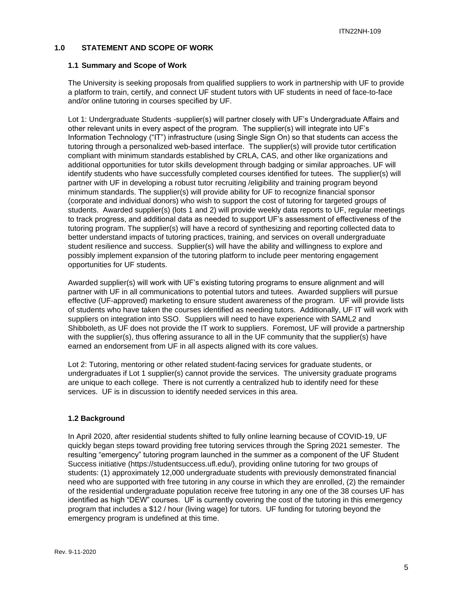## <span id="page-4-0"></span>**1.0 STATEMENT AND SCOPE OF WORK**

## <span id="page-4-1"></span>**1.1 Summary and Scope of Work**

The University is seeking proposals from qualified suppliers to work in partnership with UF to provide a platform to train, certify, and connect UF student tutors with UF students in need of face-to-face and/or online tutoring in courses specified by UF.

Lot 1: Undergraduate Students -supplier(s) will partner closely with UF's Undergraduate Affairs and other relevant units in every aspect of the program. The supplier(s) will integrate into UF's Information Technology ("IT") infrastructure (using Single Sign On) so that students can access the tutoring through a personalized web-based interface. The supplier(s) will provide tutor certification compliant with minimum standards established by CRLA, CAS, and other like organizations and additional opportunities for tutor skills development through badging or similar approaches. UF will identify students who have successfully completed courses identified for tutees. The supplier(s) will partner with UF in developing a robust tutor recruiting /eligibility and training program beyond minimum standards. The supplier(s) will provide ability for UF to recognize financial sponsor (corporate and individual donors) who wish to support the cost of tutoring for targeted groups of students. Awarded supplier(s) (lots 1 and 2) will provide weekly data reports to UF, regular meetings to track progress, and additional data as needed to support UF's assessment of effectiveness of the tutoring program. The supplier(s) will have a record of synthesizing and reporting collected data to better understand impacts of tutoring practices, training, and services on overall undergraduate student resilience and success. Supplier(s) will have the ability and willingness to explore and possibly implement expansion of the tutoring platform to include peer mentoring engagement opportunities for UF students.

Awarded supplier(s) will work with UF's existing tutoring programs to ensure alignment and will partner with UF in all communications to potential tutors and tutees. Awarded suppliers will pursue effective (UF-approved) marketing to ensure student awareness of the program. UF will provide lists of students who have taken the courses identified as needing tutors. Additionally, UF IT will work with suppliers on integration into SSO. Suppliers will need to have experience with SAML2 and Shibboleth, as UF does not provide the IT work to suppliers. Foremost, UF will provide a partnership with the supplier(s), thus offering assurance to all in the UF community that the supplier(s) have earned an endorsement from UF in all aspects aligned with its core values.

Lot 2: Tutoring, mentoring or other related student-facing services for graduate students, or undergraduates if Lot 1 supplier(s) cannot provide the services. The university graduate programs are unique to each college. There is not currently a centralized hub to identify need for these services. UF is in discussion to identify needed services in this area.

## <span id="page-4-2"></span>**1.2 Background**

In April 2020, after residential students shifted to fully online learning because of COVID-19, UF quickly began steps toward providing free tutoring services through the Spring 2021 semester. The resulting "emergency" tutoring program launched in the summer as a component of the UF Student Success initiative (https://studentsuccess.ufl.edu/), providing online tutoring for two groups of students: (1) approximately 12,000 undergraduate students with previously demonstrated financial need who are supported with free tutoring in any course in which they are enrolled, (2) the remainder of the residential undergraduate population receive free tutoring in any one of the 38 courses UF has identified as high "DEW" courses. UF is currently covering the cost of the tutoring in this emergency program that includes a \$12 / hour (living wage) for tutors. UF funding for tutoring beyond the emergency program is undefined at this time.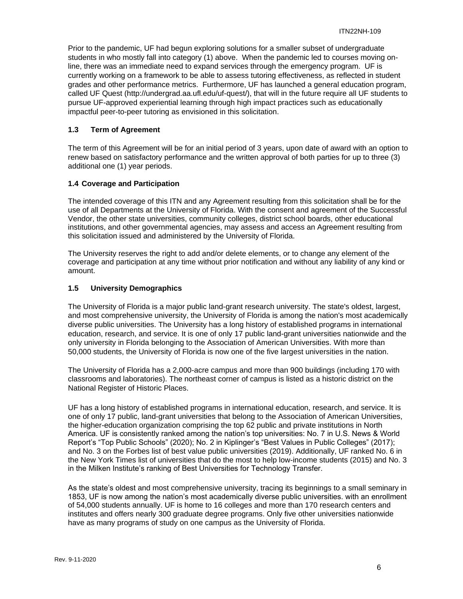Prior to the pandemic, UF had begun exploring solutions for a smaller subset of undergraduate students in who mostly fall into category (1) above. When the pandemic led to courses moving online, there was an immediate need to expand services through the emergency program. UF is currently working on a framework to be able to assess tutoring effectiveness, as reflected in student grades and other performance metrics. Furthermore, UF has launched a general education program, called UF Quest (http://undergrad.aa.ufl.edu/uf-quest/), that will in the future require all UF students to pursue UF-approved experiential learning through high impact practices such as educationally impactful peer-to-peer tutoring as envisioned in this solicitation.

## <span id="page-5-0"></span>**1.3 Term of Agreement**

The term of this Agreement will be for an initial period of 3 years, upon date of award with an option to renew based on satisfactory performance and the written approval of both parties for up to three (3) additional one (1) year periods.

## <span id="page-5-1"></span>**1.4 Coverage and Participation**

The intended coverage of this ITN and any Agreement resulting from this solicitation shall be for the use of all Departments at the University of Florida. With the consent and agreement of the Successful Vendor, the other state universities, community colleges, district school boards, other educational institutions, and other governmental agencies, may assess and access an Agreement resulting from this solicitation issued and administered by the University of Florida.

The University reserves the right to add and/or delete elements, or to change any element of the coverage and participation at any time without prior notification and without any liability of any kind or amount.

## <span id="page-5-2"></span>**1.5 University Demographics**

The University of Florida is a major public land-grant research university. The state's oldest, largest, and most comprehensive university, the University of Florida is among the nation's most academically diverse public universities. The University has a long history of established programs in international education, research, and service. It is one of only 17 public land-grant universities nationwide and the only university in Florida belonging to the Association of American Universities. With more than 50,000 students, the University of Florida is now one of the five largest universities in the nation.

The University of Florida has a 2,000-acre campus and more than 900 buildings (including 170 with classrooms and laboratories). The northeast corner of campus is listed as a historic district on the National Register of Historic Places.

UF has a long history of established programs in international education, research, and service. It is one of only 17 public, land-grant universities that belong to the Association of American Universities, the higher-education organization comprising the top 62 public and private institutions in North America. UF is consistently ranked among the nation's top universities: No. 7 in U.S. News & World Report's "Top Public Schools" (2020); No. 2 in Kiplinger's "Best Values in Public Colleges" (2017); and No. 3 on the Forbes list of best value public universities (2019). Additionally, UF ranked No. 6 in the New York Times list of universities that do the most to help low-income students (2015) and No. 3 in the Milken Institute's ranking of Best Universities for Technology Transfer.

As the state's oldest and most comprehensive university, tracing its beginnings to a small seminary in 1853, UF is now among the nation's most academically diverse public universities. with an enrollment of 54,000 students annually. UF is home to 16 colleges and more than 170 research centers and institutes and offers nearly 300 graduate degree programs. Only five other universities nationwide have as many programs of study on one campus as the University of Florida.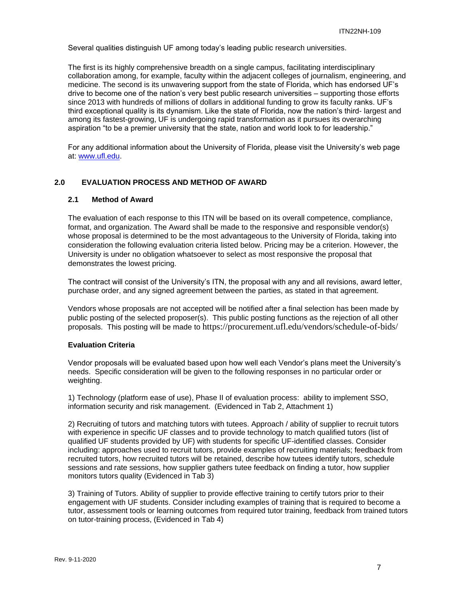Several qualities distinguish UF among today's leading public research universities.

The first is its highly comprehensive breadth on a single campus, facilitating interdisciplinary collaboration among, for example, faculty within the adjacent colleges of journalism, engineering, and medicine. The second is its unwavering support from the state of Florida, which has endorsed UF's drive to become one of the nation's very best public research universities – supporting those efforts since 2013 with hundreds of millions of dollars in additional funding to grow its faculty ranks. UF's third exceptional quality is its dynamism. Like the state of Florida, now the nation's third- largest and among its fastest-growing, UF is undergoing rapid transformation as it pursues its overarching aspiration "to be a premier university that the state, nation and world look to for leadership."

For any additional information about the University of Florida, please visit the University's web page at: [www.ufl.edu.](http://www.ufl.edu/)

#### <span id="page-6-0"></span>**2.0 EVALUATION PROCESS AND METHOD OF AWARD**

## <span id="page-6-1"></span>**2.1 Method of Award**

The evaluation of each response to this ITN will be based on its overall competence, compliance, format, and organization. The Award shall be made to the responsive and responsible vendor(s) whose proposal is determined to be the most advantageous to the University of Florida, taking into consideration the following evaluation criteria listed below. Pricing may be a criterion. However, the University is under no obligation whatsoever to select as most responsive the proposal that demonstrates the lowest pricing.

The contract will consist of the University's ITN, the proposal with any and all revisions, award letter, purchase order, and any signed agreement between the parties, as stated in that agreement.

Vendors whose proposals are not accepted will be notified after a final selection has been made by public posting of the selected proposer(s). This public posting functions as the rejection of all other proposals. This posting will be made to https://procurement.ufl.edu/vendors/schedule-of-bids/

## **Evaluation Criteria**

Vendor proposals will be evaluated based upon how well each Vendor's plans meet the University's needs. Specific consideration will be given to the following responses in no particular order or weighting.

1) Technology (platform ease of use), Phase II of evaluation process: ability to implement SSO, information security and risk management. (Evidenced in Tab 2, Attachment 1)

2) Recruiting of tutors and matching tutors with tutees. Approach / ability of supplier to recruit tutors with experience in specific UF classes and to provide technology to match qualified tutors (list of qualified UF students provided by UF) with students for specific UF-identified classes. Consider including: approaches used to recruit tutors, provide examples of recruiting materials; feedback from recruited tutors, how recruited tutors will be retained, describe how tutees identify tutors, schedule sessions and rate sessions, how supplier gathers tutee feedback on finding a tutor, how supplier monitors tutors quality (Evidenced in Tab 3)

3) Training of Tutors. Ability of supplier to provide effective training to certify tutors prior to their engagement with UF students. Consider including examples of training that is required to become a tutor, assessment tools or learning outcomes from required tutor training, feedback from trained tutors on tutor-training process, (Evidenced in Tab 4)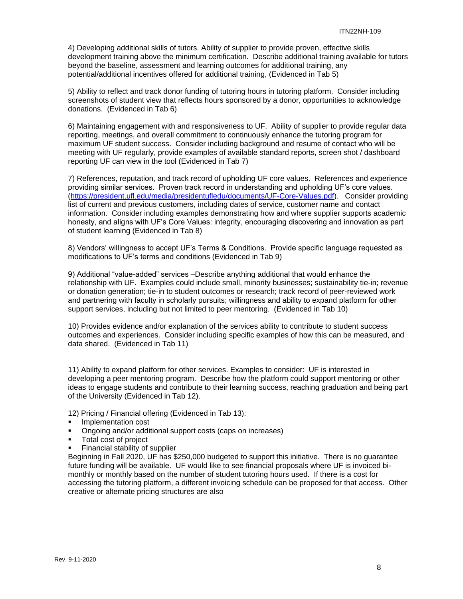4) Developing additional skills of tutors. Ability of supplier to provide proven, effective skills development training above the minimum certification. Describe additional training available for tutors beyond the baseline, assessment and learning outcomes for additional training, any potential/additional incentives offered for additional training, (Evidenced in Tab 5)

5) Ability to reflect and track donor funding of tutoring hours in tutoring platform. Consider including screenshots of student view that reflects hours sponsored by a donor, opportunities to acknowledge donations. (Evidenced in Tab 6)

6) Maintaining engagement with and responsiveness to UF. Ability of supplier to provide regular data reporting, meetings, and overall commitment to continuously enhance the tutoring program for maximum UF student success. Consider including background and resume of contact who will be meeting with UF regularly, provide examples of available standard reports, screen shot / dashboard reporting UF can view in the tool (Evidenced in Tab 7)

7) References, reputation, and track record of upholding UF core values. References and experience providing similar services. Proven track record in understanding and upholding UF's core values. [\(https://president.ufl.edu/media/presidentufledu/documents/UF-Core-Values.pdf\)](https://president.ufl.edu/media/presidentufledu/documents/UF-Core-Values.pdf). Consider providing list of current and previous customers, including dates of service, customer name and contact information. Consider including examples demonstrating how and where supplier supports academic honesty, and aligns with UF's Core Values: integrity, encouraging discovering and innovation as part of student learning (Evidenced in Tab 8)

8) Vendors' willingness to accept UF's Terms & Conditions. Provide specific language requested as modifications to UF's terms and conditions (Evidenced in Tab 9)

9) Additional "value-added" services –Describe anything additional that would enhance the relationship with UF. Examples could include small, minority businesses; sustainability tie-in; revenue or donation generation; tie-in to student outcomes or research; track record of peer-reviewed work and partnering with faculty in scholarly pursuits; willingness and ability to expand platform for other support services, including but not limited to peer mentoring. (Evidenced in Tab 10)

10) Provides evidence and/or explanation of the services ability to contribute to student success outcomes and experiences. Consider including specific examples of how this can be measured, and data shared. (Evidenced in Tab 11)

11) Ability to expand platform for other services. Examples to consider: UF is interested in developing a peer mentoring program. Describe how the platform could support mentoring or other ideas to engage students and contribute to their learning success, reaching graduation and being part of the University (Evidenced in Tab 12).

12) Pricing / Financial offering (Evidenced in Tab 13):

- Implementation cost
- Ongoing and/or additional support costs (caps on increases)
- Total cost of project
- Financial stability of supplier

Beginning in Fall 2020, UF has \$250,000 budgeted to support this initiative. There is no guarantee future funding will be available. UF would like to see financial proposals where UF is invoiced bimonthly or monthly based on the number of student tutoring hours used. If there is a cost for accessing the tutoring platform, a different invoicing schedule can be proposed for that access. Other creative or alternate pricing structures are also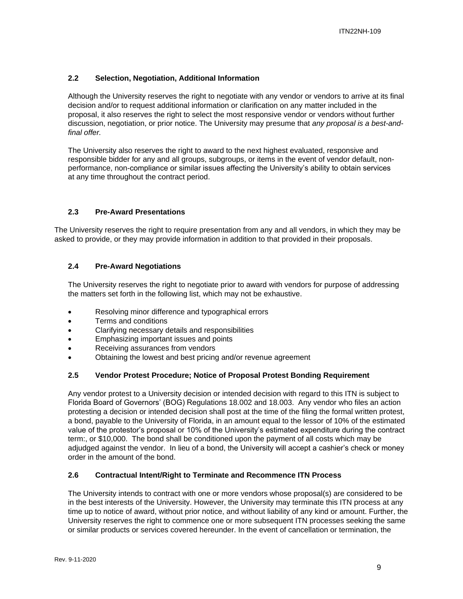## <span id="page-8-0"></span>**2.2 Selection, Negotiation, Additional Information**

Although the University reserves the right to negotiate with any vendor or vendors to arrive at its final decision and/or to request additional information or clarification on any matter included in the proposal, it also reserves the right to select the most responsive vendor or vendors without further discussion, negotiation, or prior notice. The University may presume that *any proposal is a best-andfinal offer.*

The University also reserves the right to award to the next highest evaluated, responsive and responsible bidder for any and all groups, subgroups, or items in the event of vendor default, nonperformance, non-compliance or similar issues affecting the University's ability to obtain services at any time throughout the contract period.

## <span id="page-8-1"></span>**2.3 Pre-Award Presentations**

The University reserves the right to require presentation from any and all vendors, in which they may be asked to provide, or they may provide information in addition to that provided in their proposals.

## <span id="page-8-2"></span>**2.4 Pre-Award Negotiations**

The University reserves the right to negotiate prior to award with vendors for purpose of addressing the matters set forth in the following list, which may not be exhaustive.

- Resolving minor difference and typographical errors
- Terms and conditions
- Clarifying necessary details and responsibilities
- Emphasizing important issues and points
- Receiving assurances from vendors
- Obtaining the lowest and best pricing and/or revenue agreement

## <span id="page-8-3"></span>**2.5 Vendor Protest Procedure; Notice of Proposal Protest Bonding Requirement**

Any vendor protest to a University decision or intended decision with regard to this ITN is subject to Florida Board of Governors' (BOG) Regulations 18.002 and 18.003. Any vendor who files an action protesting a decision or intended decision shall post at the time of the filing the formal written protest, a bond, payable to the University of Florida, in an amount equal to the lessor of 10% of the estimated value of the protestor's proposal or 10% of the University's estimated expenditure during the contract term:, or \$10,000. The bond shall be conditioned upon the payment of all costs which may be adjudged against the vendor. In lieu of a bond, the University will accept a cashier's check or money order in the amount of the bond.

## <span id="page-8-4"></span>**2.6 Contractual Intent/Right to Terminate and Recommence ITN Process**

The University intends to contract with one or more vendors whose proposal(s) are considered to be in the best interests of the University. However, the University may terminate this ITN process at any time up to notice of award, without prior notice, and without liability of any kind or amount. Further, the University reserves the right to commence one or more subsequent ITN processes seeking the same or similar products or services covered hereunder. In the event of cancellation or termination, the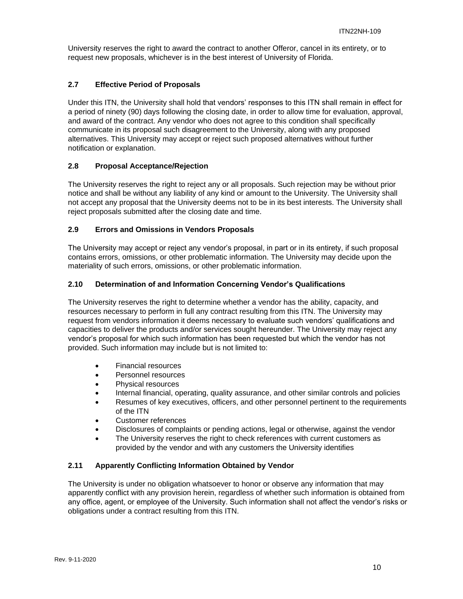University reserves the right to award the contract to another Offeror, cancel in its entirety, or to request new proposals, whichever is in the best interest of University of Florida.

## <span id="page-9-0"></span>**2.7 Effective Period of Proposals**

Under this ITN, the University shall hold that vendors' responses to this ITN shall remain in effect for a period of ninety (90) days following the closing date, in order to allow time for evaluation, approval, and award of the contract. Any vendor who does not agree to this condition shall specifically communicate in its proposal such disagreement to the University, along with any proposed alternatives. This University may accept or reject such proposed alternatives without further notification or explanation.

## <span id="page-9-1"></span>**2.8 Proposal Acceptance/Rejection**

The University reserves the right to reject any or all proposals. Such rejection may be without prior notice and shall be without any liability of any kind or amount to the University. The University shall not accept any proposal that the University deems not to be in its best interests. The University shall reject proposals submitted after the closing date and time.

## <span id="page-9-2"></span>**2.9 Errors and Omissions in Vendors Proposals**

The University may accept or reject any vendor's proposal, in part or in its entirety, if such proposal contains errors, omissions, or other problematic information. The University may decide upon the materiality of such errors, omissions, or other problematic information.

## <span id="page-9-3"></span>**2.10 Determination of and Information Concerning Vendor's Qualifications**

The University reserves the right to determine whether a vendor has the ability, capacity, and resources necessary to perform in full any contract resulting from this ITN. The University may request from vendors information it deems necessary to evaluate such vendors' qualifications and capacities to deliver the products and/or services sought hereunder. The University may reject any vendor's proposal for which such information has been requested but which the vendor has not provided. Such information may include but is not limited to:

- Financial resources
- Personnel resources
- Physical resources
- Internal financial, operating, quality assurance, and other similar controls and policies
- Resumes of key executives, officers, and other personnel pertinent to the requirements of the ITN
- Customer references
- Disclosures of complaints or pending actions, legal or otherwise, against the vendor
- The University reserves the right to check references with current customers as provided by the vendor and with any customers the University identifies

## <span id="page-9-4"></span>**2.11 Apparently Conflicting Information Obtained by Vendor**

The University is under no obligation whatsoever to honor or observe any information that may apparently conflict with any provision herein, regardless of whether such information is obtained from any office, agent, or employee of the University. Such information shall not affect the vendor's risks or obligations under a contract resulting from this ITN.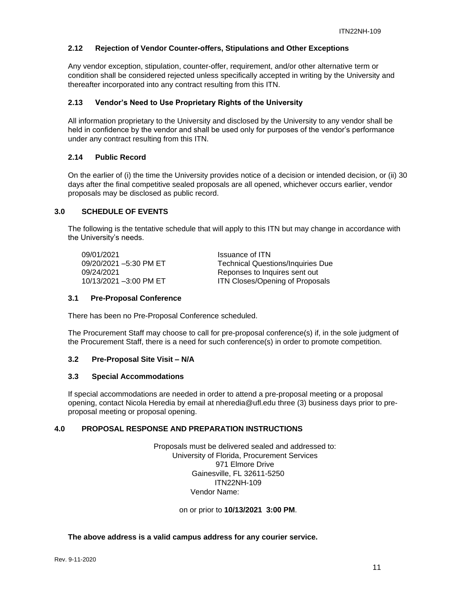## <span id="page-10-0"></span>**2.12 Rejection of Vendor Counter-offers, Stipulations and Other Exceptions**

Any vendor exception, stipulation, counter-offer, requirement, and/or other alternative term or condition shall be considered rejected unless specifically accepted in writing by the University and thereafter incorporated into any contract resulting from this ITN.

## <span id="page-10-1"></span>**2.13 Vendor's Need to Use Proprietary Rights of the University**

All information proprietary to the University and disclosed by the University to any vendor shall be held in confidence by the vendor and shall be used only for purposes of the vendor's performance under any contract resulting from this ITN.

## <span id="page-10-2"></span>**2.14 Public Record**

On the earlier of (i) the time the University provides notice of a decision or intended decision, or (ii) 30 days after the final competitive sealed proposals are all opened, whichever occurs earlier, vendor proposals may be disclosed as public record.

## <span id="page-10-3"></span>**3.0 SCHEDULE OF EVENTS**

The following is the tentative schedule that will apply to this ITN but may change in accordance with the University's needs.

09/01/2021 **Issuance of ITN**<br>09/20/2021 -5:30 PM ET Technical Quest

Technical Questions/Inquiries Due 09/24/2021 Reponses to Inquires sent out 10/13/2021 –3:00 PM ET **ITN Closes/Opening of Proposals** 

## <span id="page-10-4"></span>**3.1 Pre-Proposal Conference**

There has been no Pre-Proposal Conference scheduled.

The Procurement Staff may choose to call for pre-proposal conference(s) if, in the sole judgment of the Procurement Staff, there is a need for such conference(s) in order to promote competition.

## <span id="page-10-5"></span>**3.2 Pre-Proposal Site Visit – N/A**

## <span id="page-10-6"></span>**3.3 Special Accommodations**

If special accommodations are needed in order to attend a pre-proposal meeting or a proposal opening, contact Nicola Heredia by email at nheredia@ufl.edu three (3) business days prior to preproposal meeting or proposal opening.

## <span id="page-10-7"></span>**4.0 PROPOSAL RESPONSE AND PREPARATION INSTRUCTIONS**

Proposals must be delivered sealed and addressed to: University of Florida, Procurement Services 971 Elmore Drive Gainesville, FL 32611-5250 ITN22NH-109 Vendor Name:

on or prior to **10/13/2021 3:00 PM**.

## **The above address is a valid campus address for any courier service.**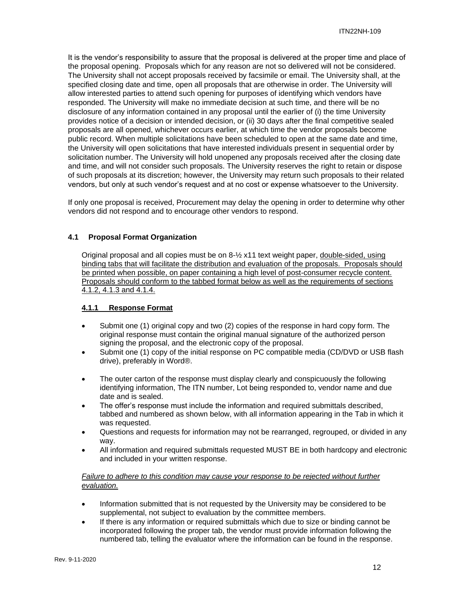It is the vendor's responsibility to assure that the proposal is delivered at the proper time and place of the proposal opening. Proposals which for any reason are not so delivered will not be considered. The University shall not accept proposals received by facsimile or email. The University shall, at the specified closing date and time, open all proposals that are otherwise in order. The University will allow interested parties to attend such opening for purposes of identifying which vendors have responded. The University will make no immediate decision at such time, and there will be no disclosure of any information contained in any proposal until the earlier of (i) the time University provides notice of a decision or intended decision, or (ii) 30 days after the final competitive sealed proposals are all opened, whichever occurs earlier, at which time the vendor proposals become public record. When multiple solicitations have been scheduled to open at the same date and time, the University will open solicitations that have interested individuals present in sequential order by solicitation number. The University will hold unopened any proposals received after the closing date and time, and will not consider such proposals. The University reserves the right to retain or dispose of such proposals at its discretion; however, the University may return such proposals to their related vendors, but only at such vendor's request and at no cost or expense whatsoever to the University.

If only one proposal is received, Procurement may delay the opening in order to determine why other vendors did not respond and to encourage other vendors to respond.

## <span id="page-11-0"></span>**4.1 Proposal Format Organization**

Original proposal and all copies must be on 8-½ x11 text weight paper, double-sided, using binding tabs that will facilitate the distribution and evaluation of the proposals. Proposals should be printed when possible, on paper containing a high level of post-consumer recycle content. Proposals should conform to the tabbed format below as well as the requirements of sections 4.1.2, 4.1.3 and 4.1.4.

## <span id="page-11-1"></span>**4.1.1 Response Format**

- Submit one (1) original copy and two (2) copies of the response in hard copy form. The original response must contain the original manual signature of the authorized person signing the proposal, and the electronic copy of the proposal.
- Submit one (1) copy of the initial response on PC compatible media (CD/DVD or USB flash drive), preferably in Word®.
- The outer carton of the response must display clearly and conspicuously the following identifying information, The ITN number, Lot being responded to, vendor name and due date and is sealed.
- The offer's response must include the information and required submittals described, tabbed and numbered as shown below, with all information appearing in the Tab in which it was requested.
- Questions and requests for information may not be rearranged, regrouped, or divided in any way.
- All information and required submittals requested MUST BE in both hardcopy and electronic and included in your written response.

*Failure to adhere to this condition may cause your response to be rejected without further evaluation.*

- Information submitted that is not requested by the University may be considered to be supplemental, not subject to evaluation by the committee members.
- If there is any information or required submittals which due to size or binding cannot be incorporated following the proper tab, the vendor must provide information following the numbered tab, telling the evaluator where the information can be found in the response.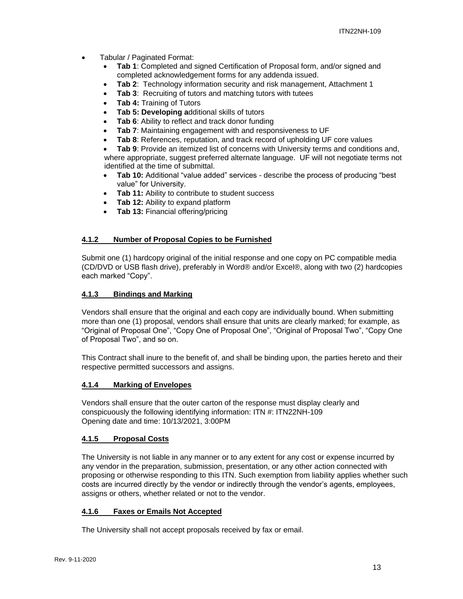- Tabular / Paginated Format:
	- **Tab 1**: Completed and signed Certification of Proposal form, and/or signed and completed acknowledgement forms for any addenda issued.
	- **Tab 2**: Technology information security and risk management, Attachment 1
	- **Tab 3:** Recruiting of tutors and matching tutors with tutees
	- **Tab 4:** Training of Tutors
	- **Tab 5: Developing a**dditional skills of tutors
	- **Tab 6:** Ability to reflect and track donor funding
	- **Tab 7**: Maintaining engagement with and responsiveness to UF
	- **Tab 8**: References, reputation, and track record of upholding UF core values

• **Tab 9**: Provide an itemized list of concerns with University terms and conditions and, where appropriate, suggest preferred alternate language. UF will not negotiate terms not identified at the time of submittal.

- **Tab 10:** Additional "value added" services describe the process of producing "best value" for University.
- **Tab 11:** Ability to contribute to student success
- **Tab 12:** Ability to expand platform
- **Tab 13:** Financial offering/pricing

## <span id="page-12-0"></span>**4.1.2 Number of Proposal Copies to be Furnished**

Submit one (1) hardcopy original of the initial response and one copy on PC compatible media (CD/DVD or USB flash drive), preferably in Word® and/or Excel®, along with two (2) hardcopies each marked "Copy".

## <span id="page-12-1"></span>**4.1.3 Bindings and Marking**

Vendors shall ensure that the original and each copy are individually bound. When submitting more than one (1) proposal, vendors shall ensure that units are clearly marked; for example, as "Original of Proposal One", "Copy One of Proposal One", "Original of Proposal Two", "Copy One of Proposal Two", and so on.

This Contract shall inure to the benefit of, and shall be binding upon, the parties hereto and their respective permitted successors and assigns.

## <span id="page-12-2"></span>**4.1.4 Marking of Envelopes**

Vendors shall ensure that the outer carton of the response must display clearly and conspicuously the following identifying information: ITN #: ITN22NH-109 Opening date and time: 10/13/2021, 3:00PM

## <span id="page-12-3"></span>**4.1.5 Proposal Costs**

The University is not liable in any manner or to any extent for any cost or expense incurred by any vendor in the preparation, submission, presentation, or any other action connected with proposing or otherwise responding to this ITN. Such exemption from liability applies whether such costs are incurred directly by the vendor or indirectly through the vendor's agents, employees, assigns or others, whether related or not to the vendor.

## <span id="page-12-4"></span>**4.1.6 Faxes or Emails Not Accepted**

The University shall not accept proposals received by fax or email.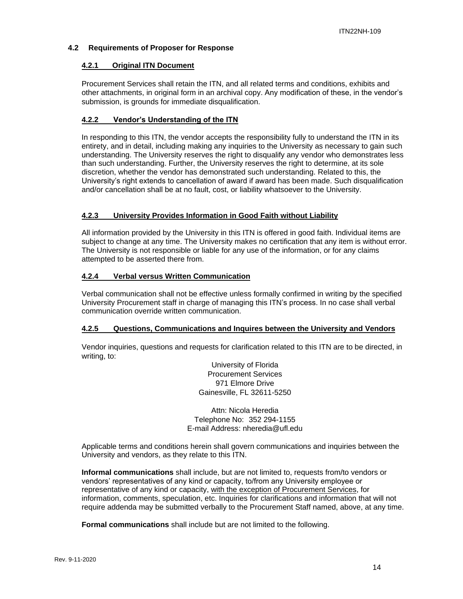## <span id="page-13-1"></span><span id="page-13-0"></span>**4.2 Requirements of Proposer for Response**

## **4.2.1 Original ITN Document**

Procurement Services shall retain the ITN, and all related terms and conditions, exhibits and other attachments, in original form in an archival copy. Any modification of these, in the vendor's submission, is grounds for immediate disqualification.

## <span id="page-13-2"></span>**4.2.2 Vendor's Understanding of the ITN**

In responding to this ITN, the vendor accepts the responsibility fully to understand the ITN in its entirety, and in detail, including making any inquiries to the University as necessary to gain such understanding. The University reserves the right to disqualify any vendor who demonstrates less than such understanding. Further, the University reserves the right to determine, at its sole discretion, whether the vendor has demonstrated such understanding. Related to this, the University's right extends to cancellation of award if award has been made. Such disqualification and/or cancellation shall be at no fault, cost, or liability whatsoever to the University.

## <span id="page-13-3"></span>**4.2.3 University Provides Information in Good Faith without Liability**

All information provided by the University in this ITN is offered in good faith. Individual items are subject to change at any time. The University makes no certification that any item is without error. The University is not responsible or liable for any use of the information, or for any claims attempted to be asserted there from.

## <span id="page-13-4"></span>**4.2.4 Verbal versus Written Communication**

Verbal communication shall not be effective unless formally confirmed in writing by the specified University Procurement staff in charge of managing this ITN's process. In no case shall verbal communication override written communication.

## <span id="page-13-5"></span>**4.2.5 Questions, Communications and Inquires between the University and Vendors**

Vendor inquiries, questions and requests for clarification related to this ITN are to be directed, in writing, to:

> University of Florida Procurement Services 971 Elmore Drive Gainesville, FL 32611-5250

Attn: Nicola Heredia Telephone No: 352 294-1155 E-mail Address: nheredia@ufl.edu

Applicable terms and conditions herein shall govern communications and inquiries between the University and vendors, as they relate to this ITN.

**Informal communications** shall include, but are not limited to, requests from/to vendors or vendors' representatives of any kind or capacity, to/from any University employee or representative of any kind or capacity, with the exception of Procurement Services, for information, comments, speculation, etc. Inquiries for clarifications and information that will not require addenda may be submitted verbally to the Procurement Staff named, above, at any time.

**Formal communications** shall include but are not limited to the following.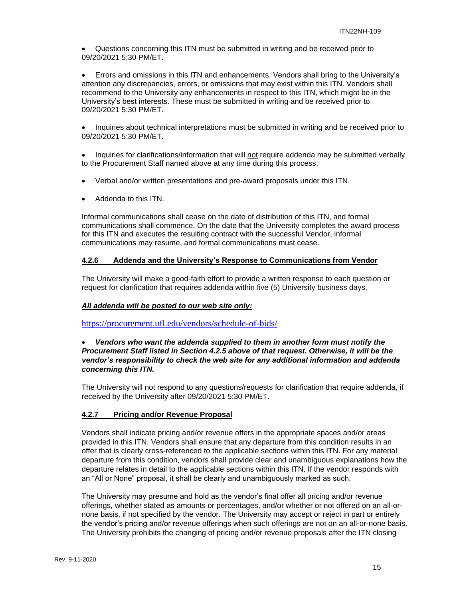• Questions concerning this ITN must be submitted in writing and be received prior to 09/20/2021 5:30 PM/ET.

• Errors and omissions in this ITN and enhancements. Vendors shall bring to the University's attention any discrepancies, errors, or omissions that may exist within this ITN. Vendors shall recommend to the University any enhancements in respect to this ITN, which might be in the University's best interests. These must be submitted in writing and be received prior to 09/20/2021 5:30 PM/ET.

• Inquiries about technical interpretations must be submitted in writing and be received prior to 09/20/2021 5:30 PM/ET.

• Inquiries for clarifications/information that will not require addenda may be submitted verbally to the Procurement Staff named above at any time during this process.

- Verbal and/or written presentations and pre-award proposals under this ITN.
- Addenda to this ITN.

Informal communications shall cease on the date of distribution of this ITN, and formal communications shall commence. On the date that the University completes the award process for this ITN and executes the resulting contract with the successful Vendor, informal communications may resume, and formal communications must cease.

## <span id="page-14-0"></span>**4.2.6 Addenda and the University's Response to Communications from Vendor**

The University will make a good-faith effort to provide a written response to each question or request for clarification that requires addenda within five (5) University business days.

## *All addenda will be posted to our web site only:*

<https://procurement.ufl.edu/vendors/schedule-of-bids/>

## • *Vendors who want the addenda supplied to them in another form must notify the Procurement Staff listed in Section 4.2.5 above of that request. Otherwise, it will be the vendor's responsibility to check the web site for any additional information and addenda concerning this ITN.*

The University will not respond to any questions/requests for clarification that require addenda, if received by the University after 09/20/2021 5:30 PM/ET.

## <span id="page-14-1"></span>**4.2.7 Pricing and/or Revenue Proposal**

Vendors shall indicate pricing and/or revenue offers in the appropriate spaces and/or areas provided in this ITN. Vendors shall ensure that any departure from this condition results in an offer that is clearly cross-referenced to the applicable sections within this ITN. For any material departure from this condition, vendors shall provide clear and unambiguous explanations how the departure relates in detail to the applicable sections within this ITN. If the vendor responds with an "All or None" proposal, it shall be clearly and unambiguously marked as such.

The University may presume and hold as the vendor's final offer all pricing and/or revenue offerings, whether stated as amounts or percentages, and/or whether or not offered on an all-ornone basis, if not specified by the vendor. The University may accept or reject in part or entirely the vendor's pricing and/or revenue offerings when such offerings are not on an all-or-none basis. The University prohibits the changing of pricing and/or revenue proposals after the ITN closing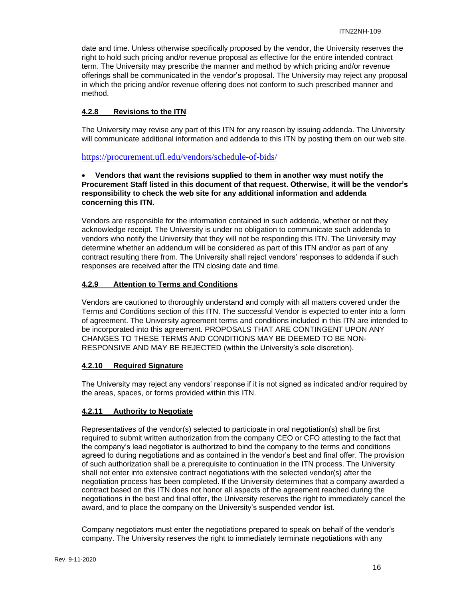date and time. Unless otherwise specifically proposed by the vendor, the University reserves the right to hold such pricing and/or revenue proposal as effective for the entire intended contract term. The University may prescribe the manner and method by which pricing and/or revenue offerings shall be communicated in the vendor's proposal. The University may reject any proposal in which the pricing and/or revenue offering does not conform to such prescribed manner and method.

## <span id="page-15-0"></span>**4.2.8 Revisions to the ITN**

The University may revise any part of this ITN for any reason by issuing addenda. The University will communicate additional information and addenda to this ITN by posting them on our web site.

<https://procurement.ufl.edu/vendors/schedule-of-bids/>

## • **Vendors that want the revisions supplied to them in another way must notify the Procurement Staff listed in this document of that request. Otherwise, it will be the vendor's responsibility to check the web site for any additional information and addenda concerning this ITN.**

Vendors are responsible for the information contained in such addenda, whether or not they acknowledge receipt. The University is under no obligation to communicate such addenda to vendors who notify the University that they will not be responding this ITN. The University may determine whether an addendum will be considered as part of this ITN and/or as part of any contract resulting there from. The University shall reject vendors' responses to addenda if such responses are received after the ITN closing date and time.

## <span id="page-15-1"></span>**4.2.9 Attention to Terms and Conditions**

Vendors are cautioned to thoroughly understand and comply with all matters covered under the Terms and Conditions section of this ITN. The successful Vendor is expected to enter into a form of agreement. The University agreement terms and conditions included in this ITN are intended to be incorporated into this agreement. PROPOSALS THAT ARE CONTINGENT UPON ANY CHANGES TO THESE TERMS AND CONDITIONS MAY BE DEEMED TO BE NON-RESPONSIVE AND MAY BE REJECTED (within the University's sole discretion).

## <span id="page-15-2"></span>**4.2.10 Required Signature**

The University may reject any vendors' response if it is not signed as indicated and/or required by the areas, spaces, or forms provided within this ITN.

## <span id="page-15-3"></span>**4.2.11 Authority to Negotiate**

Representatives of the vendor(s) selected to participate in oral negotiation(s) shall be first required to submit written authorization from the company CEO or CFO attesting to the fact that the company's lead negotiator is authorized to bind the company to the terms and conditions agreed to during negotiations and as contained in the vendor's best and final offer. The provision of such authorization shall be a prerequisite to continuation in the ITN process. The University shall not enter into extensive contract negotiations with the selected vendor(s) after the negotiation process has been completed. If the University determines that a company awarded a contract based on this ITN does not honor all aspects of the agreement reached during the negotiations in the best and final offer, the University reserves the right to immediately cancel the award, and to place the company on the University's suspended vendor list.

Company negotiators must enter the negotiations prepared to speak on behalf of the vendor's company. The University reserves the right to immediately terminate negotiations with any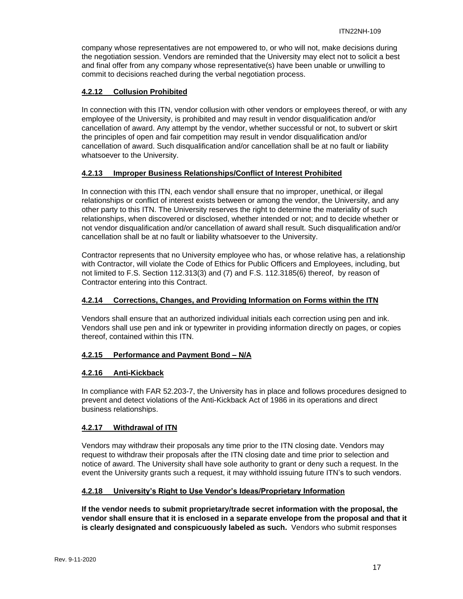company whose representatives are not empowered to, or who will not, make decisions during the negotiation session. Vendors are reminded that the University may elect not to solicit a best and final offer from any company whose representative(s) have been unable or unwilling to commit to decisions reached during the verbal negotiation process.

## <span id="page-16-0"></span>**4.2.12 Collusion Prohibited**

In connection with this ITN, vendor collusion with other vendors or employees thereof, or with any employee of the University, is prohibited and may result in vendor disqualification and/or cancellation of award. Any attempt by the vendor, whether successful or not, to subvert or skirt the principles of open and fair competition may result in vendor disqualification and/or cancellation of award. Such disqualification and/or cancellation shall be at no fault or liability whatsoever to the University.

## <span id="page-16-1"></span>**4.2.13 Improper Business Relationships/Conflict of Interest Prohibited**

In connection with this ITN, each vendor shall ensure that no improper, unethical, or illegal relationships or conflict of interest exists between or among the vendor, the University, and any other party to this ITN. The University reserves the right to determine the materiality of such relationships, when discovered or disclosed, whether intended or not; and to decide whether or not vendor disqualification and/or cancellation of award shall result. Such disqualification and/or cancellation shall be at no fault or liability whatsoever to the University.

Contractor represents that no University employee who has, or whose relative has, a relationship with Contractor, will violate the Code of Ethics for Public Officers and Employees, including, but not limited to F.S. Section 112.313(3) and (7) and F.S. 112.3185(6) thereof, by reason of Contractor entering into this Contract.

## <span id="page-16-2"></span>**4.2.14 Corrections, Changes, and Providing Information on Forms within the ITN**

Vendors shall ensure that an authorized individual initials each correction using pen and ink. Vendors shall use pen and ink or typewriter in providing information directly on pages, or copies thereof, contained within this ITN.

## <span id="page-16-3"></span>**4.2.15 Performance and Payment Bond – N/A**

## <span id="page-16-4"></span>**4.2.16 Anti-Kickback**

In compliance with FAR 52.203-7, the University has in place and follows procedures designed to prevent and detect violations of the Anti-Kickback Act of 1986 in its operations and direct business relationships.

## <span id="page-16-5"></span>**4.2.17 Withdrawal of ITN**

Vendors may withdraw their proposals any time prior to the ITN closing date. Vendors may request to withdraw their proposals after the ITN closing date and time prior to selection and notice of award. The University shall have sole authority to grant or deny such a request. In the event the University grants such a request, it may withhold issuing future ITN's to such vendors.

## <span id="page-16-6"></span>**4.2.18 University's Right to Use Vendor's Ideas/Proprietary Information**

**If the vendor needs to submit proprietary/trade secret information with the proposal, the vendor shall ensure that it is enclosed in a separate envelope from the proposal and that it is clearly designated and conspicuously labeled as such.** Vendors who submit responses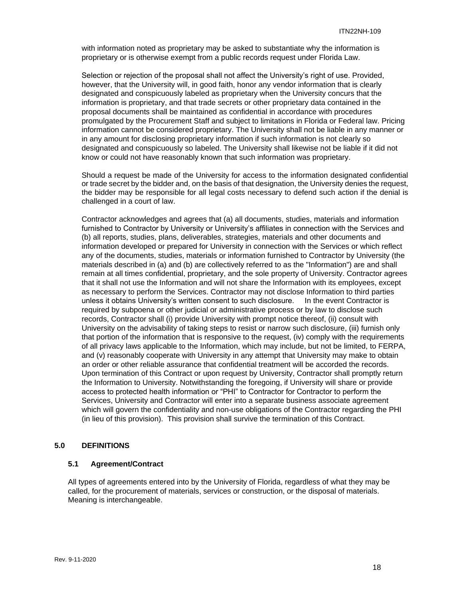with information noted as proprietary may be asked to substantiate why the information is proprietary or is otherwise exempt from a public records request under Florida Law.

Selection or rejection of the proposal shall not affect the University's right of use. Provided, however, that the University will, in good faith, honor any vendor information that is clearly designated and conspicuously labeled as proprietary when the University concurs that the information is proprietary, and that trade secrets or other proprietary data contained in the proposal documents shall be maintained as confidential in accordance with procedures promulgated by the Procurement Staff and subject to limitations in Florida or Federal law. Pricing information cannot be considered proprietary. The University shall not be liable in any manner or in any amount for disclosing proprietary information if such information is not clearly so designated and conspicuously so labeled. The University shall likewise not be liable if it did not know or could not have reasonably known that such information was proprietary.

Should a request be made of the University for access to the information designated confidential or trade secret by the bidder and, on the basis of that designation, the University denies the request, the bidder may be responsible for all legal costs necessary to defend such action if the denial is challenged in a court of law.

Contractor acknowledges and agrees that (a) all documents, studies, materials and information furnished to Contractor by University or University's affiliates in connection with the Services and (b) all reports, studies, plans, deliverables, strategies, materials and other documents and information developed or prepared for University in connection with the Services or which reflect any of the documents, studies, materials or information furnished to Contractor by University (the materials described in (a) and (b) are collectively referred to as the "Information") are and shall remain at all times confidential, proprietary, and the sole property of University. Contractor agrees that it shall not use the Information and will not share the Information with its employees, except as necessary to perform the Services. Contractor may not disclose Information to third parties unless it obtains University's written consent to such disclosure. In the event Contractor is required by subpoena or other judicial or administrative process or by law to disclose such records, Contractor shall (i) provide University with prompt notice thereof, (ii) consult with University on the advisability of taking steps to resist or narrow such disclosure, (iii) furnish only that portion of the information that is responsive to the request, (iv) comply with the requirements of all privacy laws applicable to the Information, which may include, but not be limited, to FERPA, and (v) reasonably cooperate with University in any attempt that University may make to obtain an order or other reliable assurance that confidential treatment will be accorded the records. Upon termination of this Contract or upon request by University, Contractor shall promptly return the Information to University. Notwithstanding the foregoing, if University will share or provide access to protected health information or "PHI" to Contractor for Contractor to perform the Services, University and Contractor will enter into a separate business associate agreement which will govern the confidentiality and non-use obligations of the Contractor regarding the PHI (in lieu of this provision). This provision shall survive the termination of this Contract.

## <span id="page-17-0"></span>**5.0 DEFINITIONS**

## <span id="page-17-1"></span>**5.1 Agreement/Contract**

All types of agreements entered into by the University of Florida, regardless of what they may be called, for the procurement of materials, services or construction, or the disposal of materials. Meaning is interchangeable.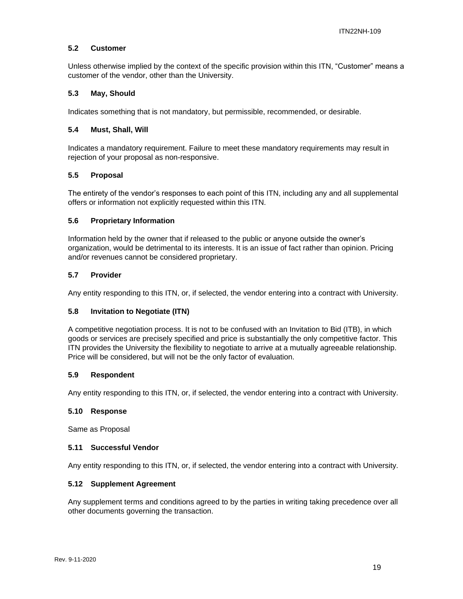## <span id="page-18-0"></span>**5.2 Customer**

Unless otherwise implied by the context of the specific provision within this ITN, "Customer" means a customer of the vendor, other than the University.

## <span id="page-18-1"></span>**5.3 May, Should**

Indicates something that is not mandatory, but permissible, recommended, or desirable.

## <span id="page-18-2"></span>**5.4 Must, Shall, Will**

Indicates a mandatory requirement. Failure to meet these mandatory requirements may result in rejection of your proposal as non-responsive.

## <span id="page-18-3"></span>**5.5 Proposal**

The entirety of the vendor's responses to each point of this ITN, including any and all supplemental offers or information not explicitly requested within this ITN.

## <span id="page-18-4"></span>**5.6 Proprietary Information**

Information held by the owner that if released to the public or anyone outside the owner's organization, would be detrimental to its interests. It is an issue of fact rather than opinion. Pricing and/or revenues cannot be considered proprietary.

## <span id="page-18-5"></span>**5.7 Provider**

Any entity responding to this ITN, or, if selected, the vendor entering into a contract with University.

## <span id="page-18-6"></span>**5.8 Invitation to Negotiate (ITN)**

A competitive negotiation process. It is not to be confused with an Invitation to Bid (ITB), in which goods or services are precisely specified and price is substantially the only competitive factor. This ITN provides the University the flexibility to negotiate to arrive at a mutually agreeable relationship. Price will be considered, but will not be the only factor of evaluation.

## <span id="page-18-7"></span>**5.9 Respondent**

Any entity responding to this ITN, or, if selected, the vendor entering into a contract with University.

## <span id="page-18-8"></span>**5.10 Response**

Same as Proposal

## <span id="page-18-9"></span>**5.11 Successful Vendor**

Any entity responding to this ITN, or, if selected, the vendor entering into a contract with University.

## <span id="page-18-10"></span>**5.12 Supplement Agreement**

Any supplement terms and conditions agreed to by the parties in writing taking precedence over all other documents governing the transaction.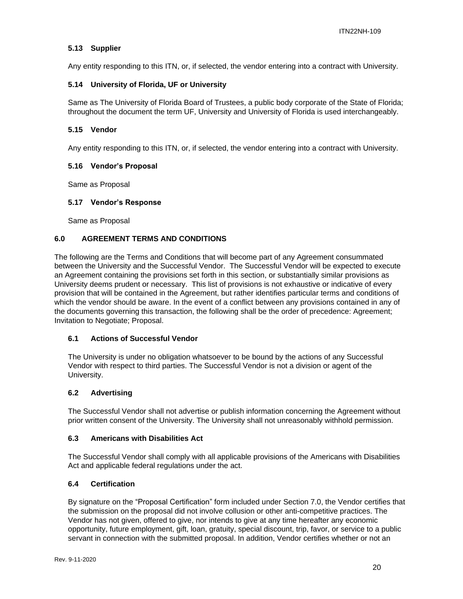## <span id="page-19-0"></span>**5.13 Supplier**

Any entity responding to this ITN, or, if selected, the vendor entering into a contract with University.

## <span id="page-19-1"></span>**5.14 University of Florida, UF or University**

Same as The University of Florida Board of Trustees, a public body corporate of the State of Florida; throughout the document the term UF, University and University of Florida is used interchangeably.

## <span id="page-19-2"></span>**5.15 Vendor**

Any entity responding to this ITN, or, if selected, the vendor entering into a contract with University.

## <span id="page-19-3"></span>**5.16 Vendor's Proposal**

Same as Proposal

## <span id="page-19-4"></span>**5.17 Vendor's Response**

Same as Proposal

## <span id="page-19-5"></span>**6.0 AGREEMENT TERMS AND CONDITIONS**

The following are the Terms and Conditions that will become part of any Agreement consummated between the University and the Successful Vendor. The Successful Vendor will be expected to execute an Agreement containing the provisions set forth in this section, or substantially similar provisions as University deems prudent or necessary. This list of provisions is not exhaustive or indicative of every provision that will be contained in the Agreement, but rather identifies particular terms and conditions of which the vendor should be aware. In the event of a conflict between any provisions contained in any of the documents governing this transaction, the following shall be the order of precedence: Agreement; Invitation to Negotiate; Proposal.

## <span id="page-19-6"></span>**6.1 Actions of Successful Vendor**

The University is under no obligation whatsoever to be bound by the actions of any Successful Vendor with respect to third parties. The Successful Vendor is not a division or agent of the University.

## <span id="page-19-7"></span>**6.2 Advertising**

The Successful Vendor shall not advertise or publish information concerning the Agreement without prior written consent of the University. The University shall not unreasonably withhold permission.

## <span id="page-19-8"></span>**6.3 Americans with Disabilities Act**

The Successful Vendor shall comply with all applicable provisions of the Americans with Disabilities Act and applicable federal regulations under the act.

## <span id="page-19-9"></span>**6.4 Certification**

By signature on the "Proposal Certification" form included under Section 7.0, the Vendor certifies that the submission on the proposal did not involve collusion or other anti-competitive practices. The Vendor has not given, offered to give, nor intends to give at any time hereafter any economic opportunity, future employment, gift, loan, gratuity, special discount, trip, favor, or service to a public servant in connection with the submitted proposal. In addition, Vendor certifies whether or not an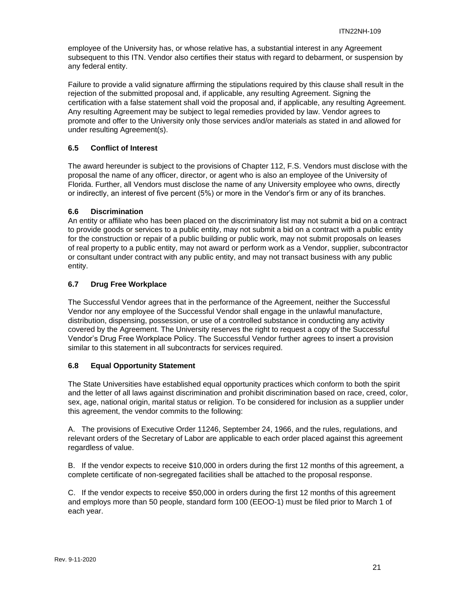employee of the University has, or whose relative has, a substantial interest in any Agreement subsequent to this ITN. Vendor also certifies their status with regard to debarment, or suspension by any federal entity.

Failure to provide a valid signature affirming the stipulations required by this clause shall result in the rejection of the submitted proposal and, if applicable, any resulting Agreement. Signing the certification with a false statement shall void the proposal and, if applicable, any resulting Agreement. Any resulting Agreement may be subject to legal remedies provided by law. Vendor agrees to promote and offer to the University only those services and/or materials as stated in and allowed for under resulting Agreement(s).

## <span id="page-20-0"></span>**6.5 Conflict of Interest**

The award hereunder is subject to the provisions of Chapter 112, F.S. Vendors must disclose with the proposal the name of any officer, director, or agent who is also an employee of the University of Florida. Further, all Vendors must disclose the name of any University employee who owns, directly or indirectly, an interest of five percent (5%) or more in the Vendor's firm or any of its branches.

## <span id="page-20-1"></span>**6.6 Discrimination**

An entity or affiliate who has been placed on the discriminatory list may not submit a bid on a contract to provide goods or services to a public entity, may not submit a bid on a contract with a public entity for the construction or repair of a public building or public work, may not submit proposals on leases of real property to a public entity, may not award or perform work as a Vendor, supplier, subcontractor or consultant under contract with any public entity, and may not transact business with any public entity.

## <span id="page-20-2"></span>**6.7 Drug Free Workplace**

The Successful Vendor agrees that in the performance of the Agreement, neither the Successful Vendor nor any employee of the Successful Vendor shall engage in the unlawful manufacture, distribution, dispensing, possession, or use of a controlled substance in conducting any activity covered by the Agreement. The University reserves the right to request a copy of the Successful Vendor's Drug Free Workplace Policy. The Successful Vendor further agrees to insert a provision similar to this statement in all subcontracts for services required.

## <span id="page-20-3"></span>**6.8 Equal Opportunity Statement**

The State Universities have established equal opportunity practices which conform to both the spirit and the letter of all laws against discrimination and prohibit discrimination based on race, creed, color, sex, age, national origin, marital status or religion. To be considered for inclusion as a supplier under this agreement, the vendor commits to the following:

A. The provisions of Executive Order 11246, September 24, 1966, and the rules, regulations, and relevant orders of the Secretary of Labor are applicable to each order placed against this agreement regardless of value.

B. If the vendor expects to receive \$10,000 in orders during the first 12 months of this agreement, a complete certificate of non-segregated facilities shall be attached to the proposal response.

C. If the vendor expects to receive \$50,000 in orders during the first 12 months of this agreement and employs more than 50 people, standard form 100 (EEOO-1) must be filed prior to March 1 of each year.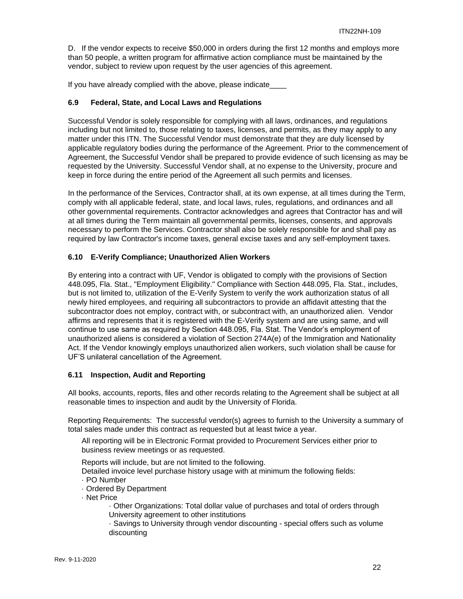D. If the vendor expects to receive \$50,000 in orders during the first 12 months and employs more than 50 people, a written program for affirmative action compliance must be maintained by the vendor, subject to review upon request by the user agencies of this agreement.

If you have already complied with the above, please indicate

#### <span id="page-21-0"></span>**6.9 Federal, State, and Local Laws and Regulations**

Successful Vendor is solely responsible for complying with all laws, ordinances, and regulations including but not limited to, those relating to taxes, licenses, and permits, as they may apply to any matter under this ITN. The Successful Vendor must demonstrate that they are duly licensed by applicable regulatory bodies during the performance of the Agreement. Prior to the commencement of Agreement, the Successful Vendor shall be prepared to provide evidence of such licensing as may be requested by the University. Successful Vendor shall, at no expense to the University, procure and keep in force during the entire period of the Agreement all such permits and licenses.

In the performance of the Services, Contractor shall, at its own expense, at all times during the Term, comply with all applicable federal, state, and local laws, rules, regulations, and ordinances and all other governmental requirements. Contractor acknowledges and agrees that Contractor has and will at all times during the Term maintain all governmental permits, licenses, consents, and approvals necessary to perform the Services. Contractor shall also be solely responsible for and shall pay as required by law Contractor's income taxes, general excise taxes and any self-employment taxes.

#### <span id="page-21-1"></span>**6.10 E-Verify Compliance; Unauthorized Alien Workers**

By entering into a contract with UF, Vendor is obligated to comply with the provisions of Section 448.095, Fla. Stat., "Employment Eligibility." Compliance with Section 448.095, Fla. Stat., includes, but is not limited to, utilization of the E-Verify System to verify the work authorization status of all newly hired employees, and requiring all subcontractors to provide an affidavit attesting that the subcontractor does not employ, contract with, or subcontract with, an unauthorized alien. Vendor affirms and represents that it is registered with the E-Verify system and are using same, and will continue to use same as required by Section 448.095, Fla. Stat. The Vendor's employment of unauthorized aliens is considered a violation of Section 274A(e) of the Immigration and Nationality Act. If the Vendor knowingly employs unauthorized alien workers, such violation shall be cause for UF'S unilateral cancellation of the Agreement.

## <span id="page-21-2"></span>**6.11 Inspection, Audit and Reporting**

All books, accounts, reports, files and other records relating to the Agreement shall be subject at all reasonable times to inspection and audit by the University of Florida.

Reporting Requirements: The successful vendor(s) agrees to furnish to the University a summary of total sales made under this contract as requested but at least twice a year.

All reporting will be in Electronic Format provided to Procurement Services either prior to business review meetings or as requested.

Reports will include, but are not limited to the following.

Detailed invoice level purchase history usage with at minimum the following fields:

- · PO Number
- · Ordered By Department
- · Net Price

· Other Organizations: Total dollar value of purchases and total of orders through University agreement to other institutions

· Savings to University through vendor discounting - special offers such as volume discounting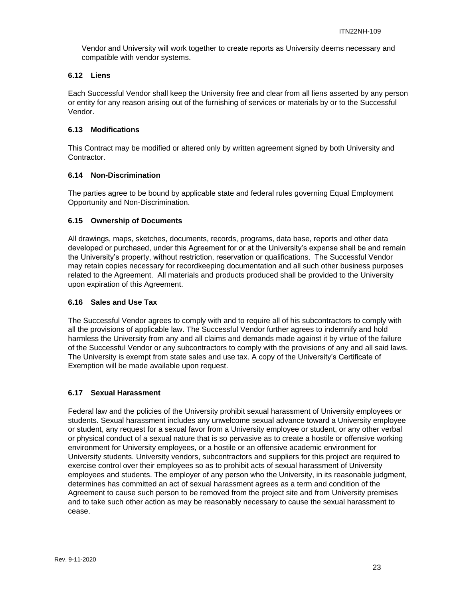Vendor and University will work together to create reports as University deems necessary and compatible with vendor systems.

## <span id="page-22-0"></span>**6.12 Liens**

Each Successful Vendor shall keep the University free and clear from all liens asserted by any person or entity for any reason arising out of the furnishing of services or materials by or to the Successful Vendor.

## <span id="page-22-1"></span>**6.13 Modifications**

This Contract may be modified or altered only by written agreement signed by both University and Contractor.

## <span id="page-22-2"></span>**6.14 Non-Discrimination**

The parties agree to be bound by applicable state and federal rules governing Equal Employment Opportunity and Non-Discrimination.

## <span id="page-22-3"></span>**6.15 Ownership of Documents**

All drawings, maps, sketches, documents, records, programs, data base, reports and other data developed or purchased, under this Agreement for or at the University's expense shall be and remain the University's property, without restriction, reservation or qualifications. The Successful Vendor may retain copies necessary for recordkeeping documentation and all such other business purposes related to the Agreement. All materials and products produced shall be provided to the University upon expiration of this Agreement.

## <span id="page-22-4"></span>**6.16 Sales and Use Tax**

The Successful Vendor agrees to comply with and to require all of his subcontractors to comply with all the provisions of applicable law. The Successful Vendor further agrees to indemnify and hold harmless the University from any and all claims and demands made against it by virtue of the failure of the Successful Vendor or any subcontractors to comply with the provisions of any and all said laws. The University is exempt from state sales and use tax. A copy of the University's Certificate of Exemption will be made available upon request.

## <span id="page-22-5"></span>**6.17 Sexual Harassment**

Federal law and the policies of the University prohibit sexual harassment of University employees or students. Sexual harassment includes any unwelcome sexual advance toward a University employee or student, any request for a sexual favor from a University employee or student, or any other verbal or physical conduct of a sexual nature that is so pervasive as to create a hostile or offensive working environment for University employees, or a hostile or an offensive academic environment for University students. University vendors, subcontractors and suppliers for this project are required to exercise control over their employees so as to prohibit acts of sexual harassment of University employees and students. The employer of any person who the University, in its reasonable judgment, determines has committed an act of sexual harassment agrees as a term and condition of the Agreement to cause such person to be removed from the project site and from University premises and to take such other action as may be reasonably necessary to cause the sexual harassment to cease.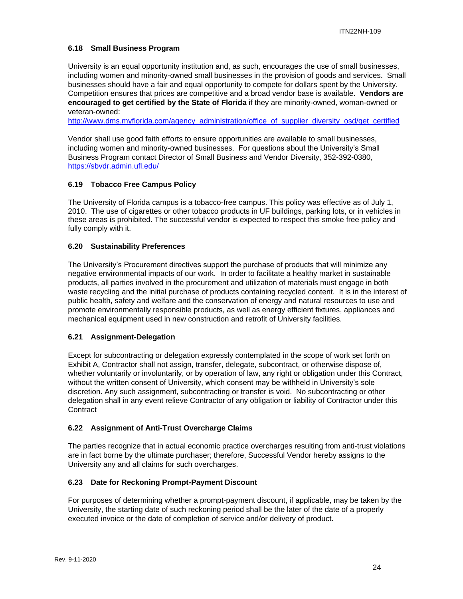## <span id="page-23-0"></span>**6.18 Small Business Program**

University is an equal opportunity institution and, as such, encourages the use of small businesses, including women and minority-owned small businesses in the provision of goods and services. Small businesses should have a fair and equal opportunity to compete for dollars spent by the University. Competition ensures that prices are competitive and a broad vendor base is available. **Vendors are encouraged to get certified by the State of Florida** if they are minority-owned, woman-owned or veteran-owned:

[http://www.dms.myflorida.com/agency\\_administration/office\\_of\\_supplier\\_diversity\\_osd/get\\_certified](http://www.dms.myflorida.com/agency_administration/office_of_supplier_diversity_osd/get_certified)

Vendor shall use good faith efforts to ensure opportunities are available to small businesses, including women and minority-owned businesses. For questions about the University's Small Business Program contact Director of Small Business and Vendor Diversity, 352-392-0380, <https://sbvdr.admin.ufl.edu/>

## <span id="page-23-1"></span>**6.19 Tobacco Free Campus Policy**

The University of Florida campus is a tobacco-free campus. This policy was effective as of July 1, 2010. The use of cigarettes or other tobacco products in UF buildings, parking lots, or in vehicles in these areas is prohibited. The successful vendor is expected to respect this smoke free policy and fully comply with it.

## <span id="page-23-2"></span>**6.20 Sustainability Preferences**

The University's Procurement directives support the purchase of products that will minimize any negative environmental impacts of our work. In order to facilitate a healthy market in sustainable products, all parties involved in the procurement and utilization of materials must engage in both waste recycling and the initial purchase of products containing recycled content. It is in the interest of public health, safety and welfare and the conservation of energy and natural resources to use and promote environmentally responsible products, as well as energy efficient fixtures, appliances and mechanical equipment used in new construction and retrofit of University facilities.

## <span id="page-23-3"></span>**6.21 Assignment-Delegation**

Except for subcontracting or delegation expressly contemplated in the scope of work set forth on Exhibit A, Contractor shall not assign, transfer, delegate, subcontract, or otherwise dispose of, whether voluntarily or involuntarily, or by operation of law, any right or obligation under this Contract, without the written consent of University, which consent may be withheld in University's sole discretion. Any such assignment, subcontracting or transfer is void. No subcontracting or other delegation shall in any event relieve Contractor of any obligation or liability of Contractor under this **Contract** 

## <span id="page-23-4"></span>**6.22 Assignment of Anti-Trust Overcharge Claims**

The parties recognize that in actual economic practice overcharges resulting from anti-trust violations are in fact borne by the ultimate purchaser; therefore, Successful Vendor hereby assigns to the University any and all claims for such overcharges.

## <span id="page-23-5"></span>**6.23 Date for Reckoning Prompt-Payment Discount**

For purposes of determining whether a prompt-payment discount, if applicable, may be taken by the University, the starting date of such reckoning period shall be the later of the date of a properly executed invoice or the date of completion of service and/or delivery of product.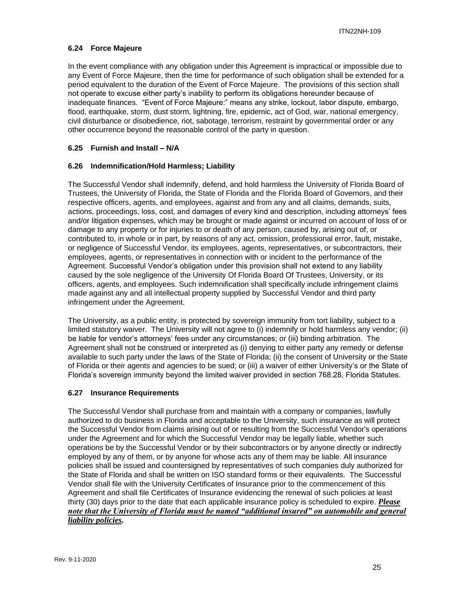## <span id="page-24-0"></span>**6.24 Force Majeure**

In the event compliance with any obligation under this Agreement is impractical or impossible due to any Event of Force Majeure, then the time for performance of such obligation shall be extended for a period equivalent to the duration of the Event of Force Majeure. The provisions of this section shall not operate to excuse either party's inability to perform its obligations hereunder because of inadequate finances. "Event of Force Majeure:" means any strike, lockout, labor dispute, embargo, flood, earthquake, storm, dust storm, lightning, fire, epidemic, act of God, war, national emergency, civil disturbance or disobedience, riot, sabotage, terrorism, restraint by governmental order or any other occurrence beyond the reasonable control of the party in question.

## <span id="page-24-1"></span>**6.25 Furnish and Install – N/A**

## <span id="page-24-2"></span>**6.26 Indemnification/Hold Harmless; Liability**

The Successful Vendor shall indemnify, defend, and hold harmless the University of Florida Board of Trustees, the University of Florida, the State of Florida and the Florida Board of Governors, and their respective officers, agents, and employees, against and from any and all claims, demands, suits, actions, proceedings, loss, cost, and damages of every kind and description, including attorneys' fees and/or litigation expenses, which may be brought or made against or incurred on account of loss of or damage to any property or for injuries to or death of any person, caused by, arising out of, or contributed to, in whole or in part, by reasons of any act, omission, professional error, fault, mistake, or negligence of Successful Vendor, its employees, agents, representatives, or subcontractors, their employees, agents, or representatives in connection with or incident to the performance of the Agreement. Successful Vendor's obligation under this provision shall not extend to any liability caused by the sole negligence of the University Of Florida Board Of Trustees, University, or its officers, agents, and employees. Such indemnification shall specifically include infringement claims made against any and all intellectual property supplied by Successful Vendor and third party infringement under the Agreement.

The University, as a public entity, is protected by sovereign immunity from tort liability, subject to a limited statutory waiver. The University will not agree to (i) indemnify or hold harmless any vendor; (ii) be liable for vendor's attorneys' fees under any circumstances; or (iii) binding arbitration. The Agreement shall not be construed or interpreted as (i) denying to either party any remedy or defense available to such party under the laws of the State of Florida; (ii) the consent of University or the State of Florida or their agents and agencies to be sued; or (iii) a waiver of either University's or the State of Florida's sovereign immunity beyond the limited waiver provided in section 768.28, Florida Statutes.

## <span id="page-24-3"></span>**6.27 Insurance Requirements**

The Successful Vendor shall purchase from and maintain with a company or companies, lawfully authorized to do business in Florida and acceptable to the University, such insurance as will protect the Successful Vendor from claims arising out of or resulting from the Successful Vendor's operations under the Agreement and for which the Successful Vendor may be legally liable, whether such operations be by the Successful Vendor or by their subcontractors or by anyone directly or indirectly employed by any of them, or by anyone for whose acts any of them may be liable. All insurance policies shall be issued and countersigned by representatives of such companies duly authorized for the State of Florida and shall be written on ISO standard forms or their equivalents. The Successful Vendor shall file with the University Certificates of Insurance prior to the commencement of this Agreement and shall file Certificates of Insurance evidencing the renewal of such policies at least thirty (30) days prior to the date that each applicable insurance policy is scheduled to expire. *Please note that the University of Florida must be named "additional insured" on automobile and general liability policies.*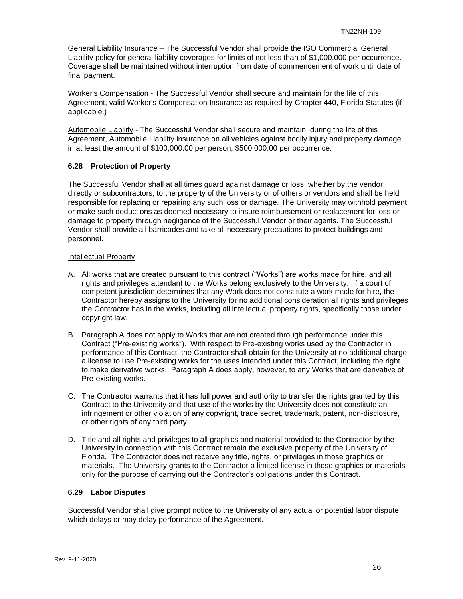General Liability Insurance - The Successful Vendor shall provide the ISO Commercial General Liability policy for general liability coverages for limits of not less than of \$1,000,000 per occurrence. Coverage shall be maintained without interruption from date of commencement of work until date of final payment.

Worker's Compensation - The Successful Vendor shall secure and maintain for the life of this Agreement, valid Worker's Compensation Insurance as required by Chapter 440, Florida Statutes (if applicable.)

Automobile Liability - The Successful Vendor shall secure and maintain, during the life of this Agreement, Automobile Liability insurance on all vehicles against bodily injury and property damage in at least the amount of \$100,000.00 per person, \$500,000.00 per occurrence.

## <span id="page-25-0"></span>**6.28 Protection of Property**

The Successful Vendor shall at all times guard against damage or loss, whether by the vendor directly or subcontractors, to the property of the University or of others or vendors and shall be held responsible for replacing or repairing any such loss or damage. The University may withhold payment or make such deductions as deemed necessary to insure reimbursement or replacement for loss or damage to property through negligence of the Successful Vendor or their agents. The Successful Vendor shall provide all barricades and take all necessary precautions to protect buildings and personnel.

#### Intellectual Property

- A. All works that are created pursuant to this contract ("Works") are works made for hire, and all rights and privileges attendant to the Works belong exclusively to the University. If a court of competent jurisdiction determines that any Work does not constitute a work made for hire, the Contractor hereby assigns to the University for no additional consideration all rights and privileges the Contractor has in the works, including all intellectual property rights, specifically those under copyright law.
- B. Paragraph A does not apply to Works that are not created through performance under this Contract ("Pre-existing works"). With respect to Pre-existing works used by the Contractor in performance of this Contract, the Contractor shall obtain for the University at no additional charge a license to use Pre-existing works for the uses intended under this Contract, including the right to make derivative works. Paragraph A does apply, however, to any Works that are derivative of Pre-existing works.
- C. The Contractor warrants that it has full power and authority to transfer the rights granted by this Contract to the University and that use of the works by the University does not constitute an infringement or other violation of any copyright, trade secret, trademark, patent, non-disclosure, or other rights of any third party.
- D. Title and all rights and privileges to all graphics and material provided to the Contractor by the University in connection with this Contract remain the exclusive property of the University of Florida. The Contractor does not receive any title, rights, or privileges in those graphics or materials. The University grants to the Contractor a limited license in those graphics or materials only for the purpose of carrying out the Contractor's obligations under this Contract.

## <span id="page-25-1"></span>**6.29 Labor Disputes**

Successful Vendor shall give prompt notice to the University of any actual or potential labor dispute which delays or may delay performance of the Agreement.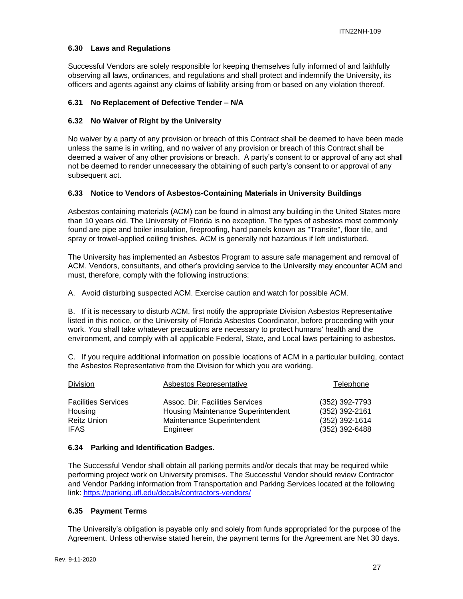## <span id="page-26-0"></span>**6.30 Laws and Regulations**

Successful Vendors are solely responsible for keeping themselves fully informed of and faithfully observing all laws, ordinances, and regulations and shall protect and indemnify the University, its officers and agents against any claims of liability arising from or based on any violation thereof.

## <span id="page-26-1"></span>**6.31 No Replacement of Defective Tender – N/A**

## <span id="page-26-2"></span>**6.32 No Waiver of Right by the University**

No waiver by a party of any provision or breach of this Contract shall be deemed to have been made unless the same is in writing, and no waiver of any provision or breach of this Contract shall be deemed a waiver of any other provisions or breach. A party's consent to or approval of any act shall not be deemed to render unnecessary the obtaining of such party's consent to or approval of any subsequent act.

## <span id="page-26-3"></span>**6.33 Notice to Vendors of Asbestos-Containing Materials in University Buildings**

Asbestos containing materials (ACM) can be found in almost any building in the United States more than 10 years old. The University of Florida is no exception. The types of asbestos most commonly found are pipe and boiler insulation, fireproofing, hard panels known as "Transite", floor tile, and spray or trowel-applied ceiling finishes. ACM is generally not hazardous if left undisturbed.

The University has implemented an Asbestos Program to assure safe management and removal of ACM. Vendors, consultants, and other's providing service to the University may encounter ACM and must, therefore, comply with the following instructions:

A. Avoid disturbing suspected ACM. Exercise caution and watch for possible ACM.

B. If it is necessary to disturb ACM, first notify the appropriate Division Asbestos Representative listed in this notice, or the University of Florida Asbestos Coordinator, before proceeding with your work. You shall take whatever precautions are necessary to protect humans' health and the environment, and comply with all applicable Federal, State, and Local laws pertaining to asbestos.

C. If you require additional information on possible locations of ACM in a particular building, contact the Asbestos Representative from the Division for which you are working.

| <b>Division</b>            | Asbestos Representative            | Telephone      |
|----------------------------|------------------------------------|----------------|
| <b>Facilities Services</b> | Assoc. Dir. Facilities Services    | (352) 392-7793 |
| Housing                    | Housing Maintenance Superintendent | (352) 392-2161 |
| <b>Reitz Union</b>         | Maintenance Superintendent         | (352) 392-1614 |
| <b>IFAS</b>                | Engineer                           | (352) 392-6488 |

## <span id="page-26-4"></span>**6.34 Parking and Identification Badges.**

The Successful Vendor shall obtain all parking permits and/or decals that may be required while performing project work on University premises. The Successful Vendor should review Contractor and Vendor Parking information from Transportation and Parking Services located at the following link:<https://parking.ufl.edu/decals/contractors-vendors/>

## <span id="page-26-5"></span>**6.35 Payment Terms**

The University's obligation is payable only and solely from funds appropriated for the purpose of the Agreement. Unless otherwise stated herein, the payment terms for the Agreement are Net 30 days.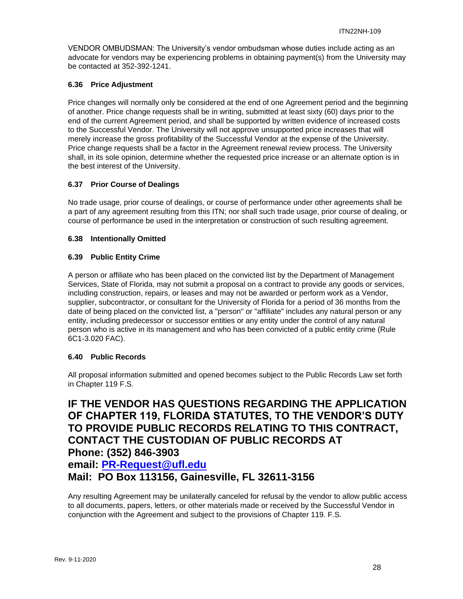VENDOR OMBUDSMAN: The University's vendor ombudsman whose duties include acting as an advocate for vendors may be experiencing problems in obtaining payment(s) from the University may be contacted at 352-392-1241.

## <span id="page-27-0"></span>**6.36 Price Adjustment**

Price changes will normally only be considered at the end of one Agreement period and the beginning of another. Price change requests shall be in writing, submitted at least sixty (60) days prior to the end of the current Agreement period, and shall be supported by written evidence of increased costs to the Successful Vendor. The University will not approve unsupported price increases that will merely increase the gross profitability of the Successful Vendor at the expense of the University. Price change requests shall be a factor in the Agreement renewal review process. The University shall, in its sole opinion, determine whether the requested price increase or an alternate option is in the best interest of the University.

## <span id="page-27-1"></span>**6.37 Prior Course of Dealings**

No trade usage, prior course of dealings, or course of performance under other agreements shall be a part of any agreement resulting from this ITN; nor shall such trade usage, prior course of dealing, or course of performance be used in the interpretation or construction of such resulting agreement.

## <span id="page-27-2"></span>**6.38 Intentionally Omitted**

## <span id="page-27-3"></span>**6.39 Public Entity Crime**

A person or affiliate who has been placed on the convicted list by the Department of Management Services, State of Florida, may not submit a proposal on a contract to provide any goods or services, including construction, repairs, or leases and may not be awarded or perform work as a Vendor, supplier, subcontractor, or consultant for the University of Florida for a period of 36 months from the date of being placed on the convicted list, a "person" or "affiliate" includes any natural person or any entity, including predecessor or successor entities or any entity under the control of any natural person who is active in its management and who has been convicted of a public entity crime (Rule 6C1-3.020 FAC).

## <span id="page-27-4"></span>**6.40 Public Records**

All proposal information submitted and opened becomes subject to the Public Records Law set forth in Chapter 119 F.S.

## **IF THE VENDOR HAS QUESTIONS REGARDING THE APPLICATION OF CHAPTER 119, FLORIDA STATUTES, TO THE VENDOR'S DUTY TO PROVIDE PUBLIC RECORDS RELATING TO THIS CONTRACT, CONTACT THE CUSTODIAN OF PUBLIC RECORDS AT Phone: (352) 846-3903**

## **email: [PR-Request@ufl.edu](mailto:PR-Request@ufl.edu)**

**Mail: PO Box 113156, Gainesville, FL 32611-3156**

Any resulting Agreement may be unilaterally canceled for refusal by the vendor to allow public access to all documents, papers, letters, or other materials made or received by the Successful Vendor in conjunction with the Agreement and subject to the provisions of Chapter 119. F.S.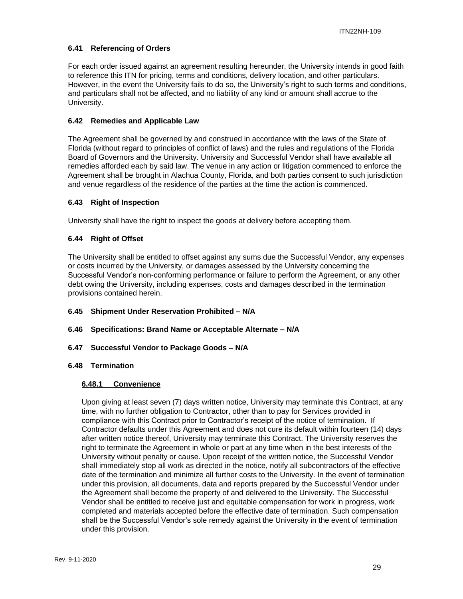## <span id="page-28-0"></span>**6.41 Referencing of Orders**

For each order issued against an agreement resulting hereunder, the University intends in good faith to reference this ITN for pricing, terms and conditions, delivery location, and other particulars. However, in the event the University fails to do so, the University's right to such terms and conditions, and particulars shall not be affected, and no liability of any kind or amount shall accrue to the University.

## <span id="page-28-1"></span>**6.42 Remedies and Applicable Law**

The Agreement shall be governed by and construed in accordance with the laws of the State of Florida (without regard to principles of conflict of laws) and the rules and regulations of the Florida Board of Governors and the University. University and Successful Vendor shall have available all remedies afforded each by said law. The venue in any action or litigation commenced to enforce the Agreement shall be brought in Alachua County, Florida, and both parties consent to such jurisdiction and venue regardless of the residence of the parties at the time the action is commenced.

## <span id="page-28-2"></span>**6.43 Right of Inspection**

University shall have the right to inspect the goods at delivery before accepting them.

## <span id="page-28-3"></span>**6.44 Right of Offset**

The University shall be entitled to offset against any sums due the Successful Vendor, any expenses or costs incurred by the University, or damages assessed by the University concerning the Successful Vendor's non-conforming performance or failure to perform the Agreement, or any other debt owing the University, including expenses, costs and damages described in the termination provisions contained herein.

## <span id="page-28-4"></span>**6.45 Shipment Under Reservation Prohibited – N/A**

- <span id="page-28-5"></span>**6.46 Specifications: Brand Name or Acceptable Alternate – N/A**
- <span id="page-28-6"></span>**6.47 Successful Vendor to Package Goods – N/A**

## <span id="page-28-8"></span><span id="page-28-7"></span>**6.48 Termination**

## **6.48.1 Convenience**

Upon giving at least seven (7) days written notice, University may terminate this Contract, at any time, with no further obligation to Contractor, other than to pay for Services provided in compliance with this Contract prior to Contractor's receipt of the notice of termination. If Contractor defaults under this Agreement and does not cure its default within fourteen (14) days after written notice thereof, University may terminate this Contract. The University reserves the right to terminate the Agreement in whole or part at any time when in the best interests of the University without penalty or cause. Upon receipt of the written notice, the Successful Vendor shall immediately stop all work as directed in the notice, notify all subcontractors of the effective date of the termination and minimize all further costs to the University. In the event of termination under this provision, all documents, data and reports prepared by the Successful Vendor under the Agreement shall become the property of and delivered to the University. The Successful Vendor shall be entitled to receive just and equitable compensation for work in progress, work completed and materials accepted before the effective date of termination. Such compensation shall be the Successful Vendor's sole remedy against the University in the event of termination under this provision.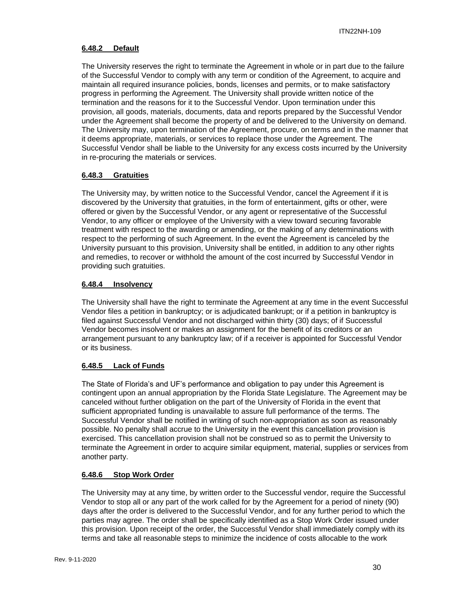## <span id="page-29-0"></span>**6.48.2 Default**

The University reserves the right to terminate the Agreement in whole or in part due to the failure of the Successful Vendor to comply with any term or condition of the Agreement, to acquire and maintain all required insurance policies, bonds, licenses and permits, or to make satisfactory progress in performing the Agreement. The University shall provide written notice of the termination and the reasons for it to the Successful Vendor. Upon termination under this provision, all goods, materials, documents, data and reports prepared by the Successful Vendor under the Agreement shall become the property of and be delivered to the University on demand. The University may, upon termination of the Agreement, procure, on terms and in the manner that it deems appropriate, materials, or services to replace those under the Agreement. The Successful Vendor shall be liable to the University for any excess costs incurred by the University in re-procuring the materials or services.

## <span id="page-29-1"></span>**6.48.3 Gratuities**

The University may, by written notice to the Successful Vendor, cancel the Agreement if it is discovered by the University that gratuities, in the form of entertainment, gifts or other, were offered or given by the Successful Vendor, or any agent or representative of the Successful Vendor, to any officer or employee of the University with a view toward securing favorable treatment with respect to the awarding or amending, or the making of any determinations with respect to the performing of such Agreement. In the event the Agreement is canceled by the University pursuant to this provision, University shall be entitled, in addition to any other rights and remedies, to recover or withhold the amount of the cost incurred by Successful Vendor in providing such gratuities.

## <span id="page-29-2"></span>**6.48.4 Insolvency**

The University shall have the right to terminate the Agreement at any time in the event Successful Vendor files a petition in bankruptcy; or is adjudicated bankrupt; or if a petition in bankruptcy is filed against Successful Vendor and not discharged within thirty (30) days; of if Successful Vendor becomes insolvent or makes an assignment for the benefit of its creditors or an arrangement pursuant to any bankruptcy law; of if a receiver is appointed for Successful Vendor or its business.

## <span id="page-29-3"></span>**6.48.5 Lack of Funds**

The State of Florida's and UF's performance and obligation to pay under this Agreement is contingent upon an annual appropriation by the Florida State Legislature. The Agreement may be canceled without further obligation on the part of the University of Florida in the event that sufficient appropriated funding is unavailable to assure full performance of the terms. The Successful Vendor shall be notified in writing of such non-appropriation as soon as reasonably possible. No penalty shall accrue to the University in the event this cancellation provision is exercised. This cancellation provision shall not be construed so as to permit the University to terminate the Agreement in order to acquire similar equipment, material, supplies or services from another party.

## <span id="page-29-4"></span>**6.48.6 Stop Work Order**

The University may at any time, by written order to the Successful vendor, require the Successful Vendor to stop all or any part of the work called for by the Agreement for a period of ninety (90) days after the order is delivered to the Successful Vendor, and for any further period to which the parties may agree. The order shall be specifically identified as a Stop Work Order issued under this provision. Upon receipt of the order, the Successful Vendor shall immediately comply with its terms and take all reasonable steps to minimize the incidence of costs allocable to the work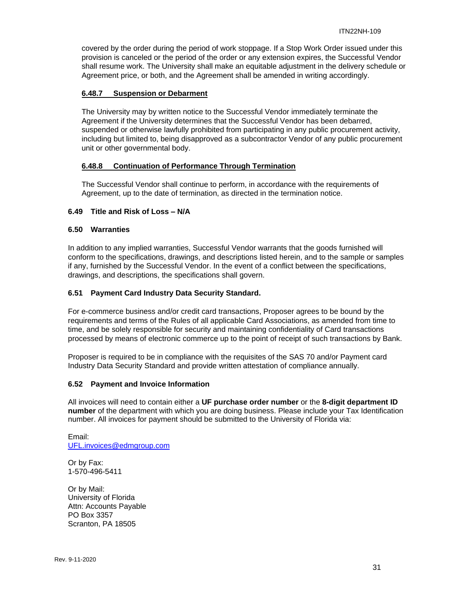covered by the order during the period of work stoppage. If a Stop Work Order issued under this provision is canceled or the period of the order or any extension expires, the Successful Vendor shall resume work. The University shall make an equitable adjustment in the delivery schedule or Agreement price, or both, and the Agreement shall be amended in writing accordingly.

## <span id="page-30-0"></span>**6.48.7 Suspension or Debarment**

The University may by written notice to the Successful Vendor immediately terminate the Agreement if the University determines that the Successful Vendor has been debarred, suspended or otherwise lawfully prohibited from participating in any public procurement activity, including but limited to, being disapproved as a subcontractor Vendor of any public procurement unit or other governmental body.

## <span id="page-30-1"></span>**6.48.8 Continuation of Performance Through Termination**

The Successful Vendor shall continue to perform, in accordance with the requirements of Agreement, up to the date of termination, as directed in the termination notice.

## <span id="page-30-2"></span>**6.49 Title and Risk of Loss – N/A**

#### <span id="page-30-3"></span>**6.50 Warranties**

In addition to any implied warranties, Successful Vendor warrants that the goods furnished will conform to the specifications, drawings, and descriptions listed herein, and to the sample or samples if any, furnished by the Successful Vendor. In the event of a conflict between the specifications, drawings, and descriptions, the specifications shall govern.

## <span id="page-30-4"></span>**6.51 Payment Card Industry Data Security Standard.**

For e-commerce business and/or credit card transactions, Proposer agrees to be bound by the requirements and terms of the Rules of all applicable Card Associations, as amended from time to time, and be solely responsible for security and maintaining confidentiality of Card transactions processed by means of electronic commerce up to the point of receipt of such transactions by Bank.

Proposer is required to be in compliance with the requisites of the SAS 70 and/or Payment card Industry Data Security Standard and provide written attestation of compliance annually.

## <span id="page-30-5"></span>**6.52 Payment and Invoice Information**

All invoices will need to contain either a **UF purchase order number** or the **8-digit department ID number** of the department with which you are doing business. Please include your Tax Identification number. All invoices for payment should be submitted to the University of Florida via:

Email: [UFL.invoices@edmgroup.com](mailto:UFL.invoices@edmgroup.com)

Or by Fax: 1-570-496-5411

Or by Mail: University of Florida Attn: Accounts Payable PO Box 3357 Scranton, PA 18505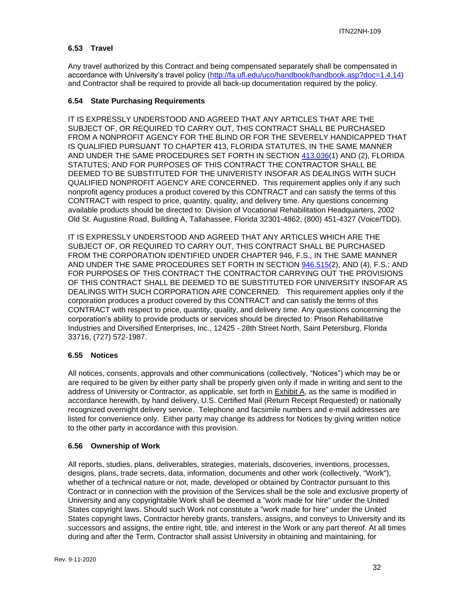## <span id="page-31-0"></span>**6.53 Travel**

Any travel authorized by this Contract and being compensated separately shall be compensated in accordance with University's travel policy [\(http://fa.ufl.edu/uco/handbook/handbook.asp?doc=1.4.14\)](http://fa.ufl.edu/uco/handbook/handbook.asp?doc=1.4.14) and Contractor shall be required to provide all back-up documentation required by the policy.

## <span id="page-31-1"></span>**6.54 State Purchasing Requirements**

IT IS EXPRESSLY UNDERSTOOD AND AGREED THAT ANY ARTICLES THAT ARE THE SUBJECT OF, OR REQUIRED TO CARRY OUT, THIS CONTRACT SHALL BE PURCHASED FROM A NONPROFIT AGENCY FOR THE BLIND OR FOR THE SEVERELY HANDICAPPED THAT IS QUALIFIED PURSUANT TO CHAPTER 413, FLORIDA STATUTES, IN THE SAME MANNER AND UNDER THE SAME PROCEDURES SET FORTH IN SECTION [413.036\(](http://www.leg.state.fl.us/STATUTES/index.cfm?App_mode=Display_Statute&Search_String=&URL=Ch0413/Sec036.HTM)1) AND (2), FLORIDA STATUTES; AND FOR PURPOSES OF THIS CONTRACT THE CONTRACTOR SHALL BE DEEMED TO BE SUBSTITUTED FOR THE UNIVERISTY INSOFAR AS DEALINGS WITH SUCH QUALIFIED NONPROFIT AGENCY ARE CONCERNED. This requirement applies only if any such nonprofit agency produces a product covered by this CONTRACT and can satisfy the terms of this CONTRACT with respect to price, quantity, quality, and delivery time. Any questions concerning available products should be directed to: Division of Vocational Rehabilitation Headquarters, 2002 Old St. Augustine Road, Building A, Tallahassee, Florida 32301-4862, (800) 451-4327 (Voice/TDD).

IT IS EXPRESSLY UNDERSTOOD AND AGREED THAT ANY ARTICLES WHICH ARE THE SUBJECT OF, OR REQUIRED TO CARRY OUT, THIS CONTRACT SHALL BE PURCHASED FROM THE CORPORATION IDENTIFIED UNDER CHAPTER 946, F.S., IN THE SAME MANNER AND UNDER THE SAME PROCEDURES SET FORTH IN SECTION [946.515\(](http://www.leg.state.fl.us/STATUTES/index.cfm?App_mode=Display_Statute&Search_String=&URL=Ch0946/Sec515.HTM)2), AND (4), F.S.; AND FOR PURPOSES OF THIS CONTRACT THE CONTRACTOR CARRYING OUT THE PROVISIONS OF THIS CONTRACT SHALL BE DEEMED TO BE SUBSTITUTED FOR UNIVERSITY INSOFAR AS DEALINGS WITH SUCH CORPORATION ARE CONCERNED. This requirement applies only if the corporation produces a product covered by this CONTRACT and can satisfy the terms of this CONTRACT with respect to price, quantity, quality, and delivery time. Any questions concerning the corporation's ability to provide products or services should be directed to: Prison Rehabilitative Industries and Diversified Enterprises, Inc., 12425 - 28th Street North, Saint Petersburg, Florida 33716, (727) 572-1987.

## <span id="page-31-2"></span>**6.55 Notices**

All notices, consents, approvals and other communications (collectively, "Notices") which may be or are required to be given by either party shall be properly given only if made in writing and sent to the address of University or Contractor, as applicable, set forth in Exhibit A, as the same is modified in accordance herewith, by hand delivery, U.S. Certified Mail (Return Receipt Requested) or nationally recognized overnight delivery service. Telephone and facsimile numbers and e-mail addresses are listed for convenience only. Either party may change its address for Notices by giving written notice to the other party in accordance with this provision.

## <span id="page-31-3"></span>**6.56 Ownership of Work**

All reports, studies, plans, deliverables, strategies, materials, discoveries, inventions, processes, designs, plans, trade secrets, data, information, documents and other work (collectively, "Work"), whether of a technical nature or not, made, developed or obtained by Contractor pursuant to this Contract or in connection with the provision of the Services shall be the sole and exclusive property of University and any copyrightable Work shall be deemed a "work made for hire" under the United States copyright laws. Should such Work not constitute a "work made for hire" under the United States copyright laws, Contractor hereby grants, transfers, assigns, and conveys to University and its successors and assigns, the entire right, title, and interest in the Work or any part thereof. At all times during and after the Term, Contractor shall assist University in obtaining and maintaining, for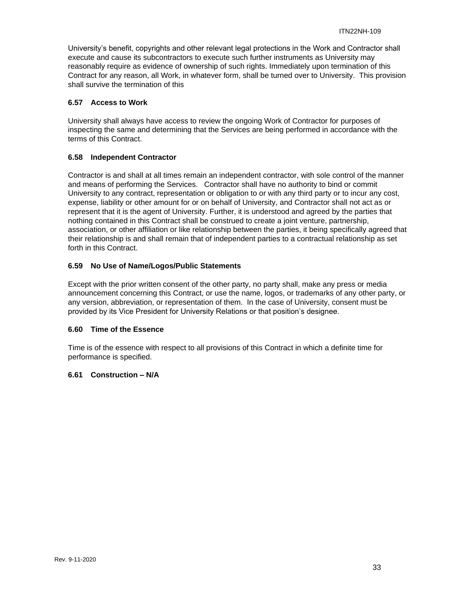University's benefit, copyrights and other relevant legal protections in the Work and Contractor shall execute and cause its subcontractors to execute such further instruments as University may reasonably require as evidence of ownership of such rights. Immediately upon termination of this Contract for any reason, all Work, in whatever form, shall be turned over to University. This provision shall survive the termination of this

## <span id="page-32-0"></span>**6.57 Access to Work**

University shall always have access to review the ongoing Work of Contractor for purposes of inspecting the same and determining that the Services are being performed in accordance with the terms of this Contract.

## <span id="page-32-1"></span>**6.58 Independent Contractor**

Contractor is and shall at all times remain an independent contractor, with sole control of the manner and means of performing the Services. Contractor shall have no authority to bind or commit University to any contract, representation or obligation to or with any third party or to incur any cost, expense, liability or other amount for or on behalf of University, and Contractor shall not act as or represent that it is the agent of University. Further, it is understood and agreed by the parties that nothing contained in this Contract shall be construed to create a joint venture, partnership, association, or other affiliation or like relationship between the parties, it being specifically agreed that their relationship is and shall remain that of independent parties to a contractual relationship as set forth in this Contract.

## <span id="page-32-2"></span>**6.59 No Use of Name/Logos/Public Statements**

Except with the prior written consent of the other party, no party shall, make any press or media announcement concerning this Contract, or use the name, logos, or trademarks of any other party, or any version, abbreviation, or representation of them. In the case of University, consent must be provided by its Vice President for University Relations or that position's designee.

## <span id="page-32-3"></span>**6.60 Time of the Essence**

Time is of the essence with respect to all provisions of this Contract in which a definite time for performance is specified.

## <span id="page-32-4"></span>**6.61 Construction – N/A**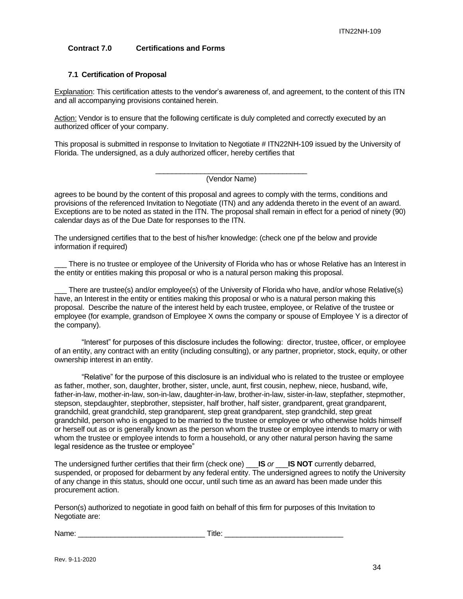## <span id="page-33-0"></span>**Contract 7.0 Certifications and Forms**

## <span id="page-33-1"></span>**7.1 Certification of Proposal**

Explanation: This certification attests to the vendor's awareness of, and agreement, to the content of this ITN and all accompanying provisions contained herein.

Action: Vendor is to ensure that the following certificate is duly completed and correctly executed by an authorized officer of your company.

This proposal is submitted in response to Invitation to Negotiate # ITN22NH-109 issued by the University of Florida. The undersigned, as a duly authorized officer, hereby certifies that

#### \_\_\_\_\_\_\_\_\_\_\_\_\_\_\_\_\_\_\_\_\_\_\_\_\_\_\_\_\_\_\_\_\_\_\_\_\_ (Vendor Name)

agrees to be bound by the content of this proposal and agrees to comply with the terms, conditions and provisions of the referenced Invitation to Negotiate (ITN) and any addenda thereto in the event of an award. Exceptions are to be noted as stated in the ITN. The proposal shall remain in effect for a period of ninety (90) calendar days as of the Due Date for responses to the ITN.

The undersigned certifies that to the best of his/her knowledge: (check one pf the below and provide information if required)

There is no trustee or employee of the University of Florida who has or whose Relative has an Interest in the entity or entities making this proposal or who is a natural person making this proposal.

There are trustee(s) and/or employee(s) of the University of Florida who have, and/or whose Relative(s) have, an Interest in the entity or entities making this proposal or who is a natural person making this proposal. Describe the nature of the interest held by each trustee, employee, or Relative of the trustee or employee (for example, grandson of Employee X owns the company or spouse of Employee Y is a director of the company).

"Interest" for purposes of this disclosure includes the following: director, trustee, officer, or employee of an entity, any contract with an entity (including consulting), or any partner, proprietor, stock, equity, or other ownership interest in an entity.

"Relative" for the purpose of this disclosure is an individual who is related to the trustee or employee as father, mother, son, daughter, brother, sister, uncle, aunt, first cousin, nephew, niece, husband, wife, father-in-law, mother-in-law, son-in-law, daughter-in-law, brother-in-law, sister-in-law, stepfather, stepmother, stepson, stepdaughter, stepbrother, stepsister, half brother, half sister, grandparent, great grandparent, grandchild, great grandchild, step grandparent, step great grandparent, step grandchild, step great grandchild, person who is engaged to be married to the trustee or employee or who otherwise holds himself or herself out as or is generally known as the person whom the trustee or employee intends to marry or with whom the trustee or employee intends to form a household, or any other natural person having the same legal residence as the trustee or employee"

The undersigned further certifies that their firm (check one) \_\_\_**IS** *or* \_\_\_**IS NOT** currently debarred, suspended, or proposed for debarment by any federal entity. The undersigned agrees to notify the University of any change in this status, should one occur, until such time as an award has been made under this procurement action.

Person(s) authorized to negotiate in good faith on behalf of this firm for purposes of this Invitation to Negotiate are:

Name: example and the set of  $\blacksquare$  Title:  $\blacksquare$